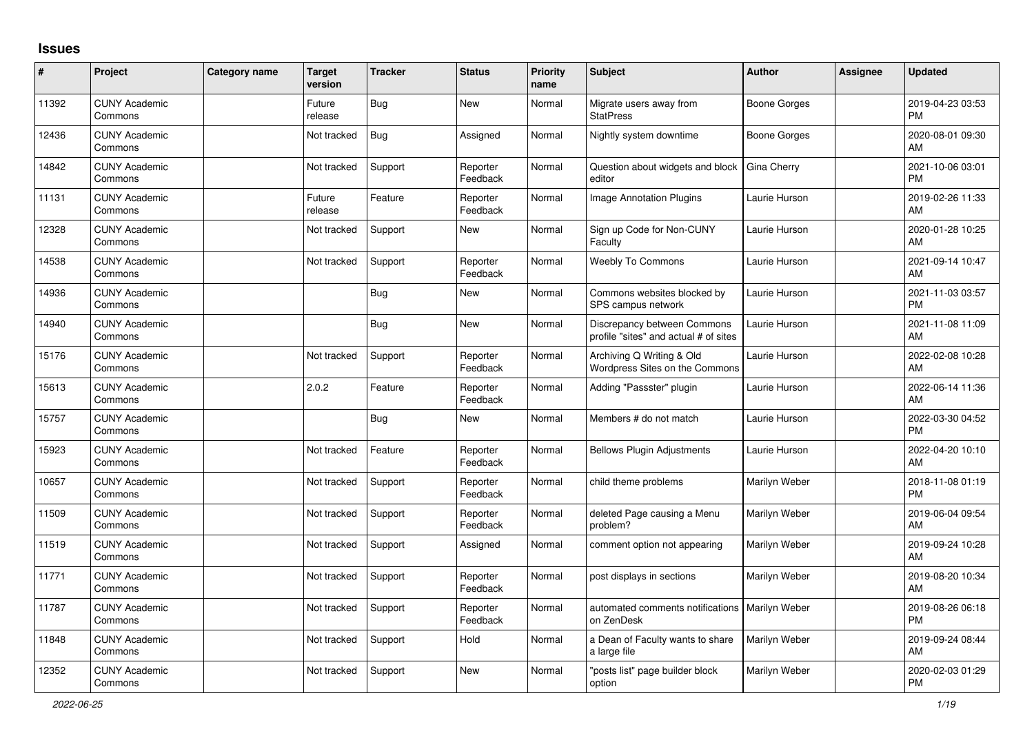## **Issues**

| $\sharp$ | Project                         | Category name | <b>Target</b><br>version | <b>Tracker</b> | <b>Status</b>        | <b>Priority</b><br>name | <b>Subject</b>                                                       | <b>Author</b>       | Assignee | <b>Updated</b>                |
|----------|---------------------------------|---------------|--------------------------|----------------|----------------------|-------------------------|----------------------------------------------------------------------|---------------------|----------|-------------------------------|
| 11392    | <b>CUNY Academic</b><br>Commons |               | Future<br>release        | Bug            | New                  | Normal                  | Migrate users away from<br><b>StatPress</b>                          | <b>Boone Gorges</b> |          | 2019-04-23 03:53<br><b>PM</b> |
| 12436    | <b>CUNY Academic</b><br>Commons |               | Not tracked              | Bug            | Assigned             | Normal                  | Nightly system downtime                                              | <b>Boone Gorges</b> |          | 2020-08-01 09:30<br>AM        |
| 14842    | <b>CUNY Academic</b><br>Commons |               | Not tracked              | Support        | Reporter<br>Feedback | Normal                  | Question about widgets and block<br>editor                           | Gina Cherry         |          | 2021-10-06 03:01<br><b>PM</b> |
| 11131    | <b>CUNY Academic</b><br>Commons |               | Future<br>release        | Feature        | Reporter<br>Feedback | Normal                  | Image Annotation Plugins                                             | Laurie Hurson       |          | 2019-02-26 11:33<br>AM        |
| 12328    | <b>CUNY Academic</b><br>Commons |               | Not tracked              | Support        | <b>New</b>           | Normal                  | Sign up Code for Non-CUNY<br>Faculty                                 | Laurie Hurson       |          | 2020-01-28 10:25<br>AM        |
| 14538    | <b>CUNY Academic</b><br>Commons |               | Not tracked              | Support        | Reporter<br>Feedback | Normal                  | <b>Weebly To Commons</b>                                             | Laurie Hurson       |          | 2021-09-14 10:47<br>AM        |
| 14936    | <b>CUNY Academic</b><br>Commons |               |                          | <b>Bug</b>     | <b>New</b>           | Normal                  | Commons websites blocked by<br>SPS campus network                    | Laurie Hurson       |          | 2021-11-03 03:57<br>PM        |
| 14940    | <b>CUNY Academic</b><br>Commons |               |                          | <b>Bug</b>     | <b>New</b>           | Normal                  | Discrepancy between Commons<br>profile "sites" and actual # of sites | Laurie Hurson       |          | 2021-11-08 11:09<br>AM        |
| 15176    | <b>CUNY Academic</b><br>Commons |               | Not tracked              | Support        | Reporter<br>Feedback | Normal                  | Archiving Q Writing & Old<br>Wordpress Sites on the Commons          | Laurie Hurson       |          | 2022-02-08 10:28<br>AM        |
| 15613    | <b>CUNY Academic</b><br>Commons |               | 2.0.2                    | Feature        | Reporter<br>Feedback | Normal                  | Adding "Passster" plugin                                             | Laurie Hurson       |          | 2022-06-14 11:36<br>AM        |
| 15757    | <b>CUNY Academic</b><br>Commons |               |                          | <b>Bug</b>     | New                  | Normal                  | Members # do not match                                               | Laurie Hurson       |          | 2022-03-30 04:52<br><b>PM</b> |
| 15923    | <b>CUNY Academic</b><br>Commons |               | Not tracked              | Feature        | Reporter<br>Feedback | Normal                  | Bellows Plugin Adjustments                                           | Laurie Hurson       |          | 2022-04-20 10:10<br>AM        |
| 10657    | <b>CUNY Academic</b><br>Commons |               | Not tracked              | Support        | Reporter<br>Feedback | Normal                  | child theme problems                                                 | Marilyn Weber       |          | 2018-11-08 01:19<br><b>PM</b> |
| 11509    | <b>CUNY Academic</b><br>Commons |               | Not tracked              | Support        | Reporter<br>Feedback | Normal                  | deleted Page causing a Menu<br>problem?                              | Marilyn Weber       |          | 2019-06-04 09:54<br>AM        |
| 11519    | <b>CUNY Academic</b><br>Commons |               | Not tracked              | Support        | Assigned             | Normal                  | comment option not appearing                                         | Marilyn Weber       |          | 2019-09-24 10:28<br>AM        |
| 11771    | <b>CUNY Academic</b><br>Commons |               | Not tracked              | Support        | Reporter<br>Feedback | Normal                  | post displays in sections                                            | Marilyn Weber       |          | 2019-08-20 10:34<br>AM        |
| 11787    | <b>CUNY Academic</b><br>Commons |               | Not tracked              | Support        | Reporter<br>Feedback | Normal                  | automated comments notifications   Marilyn Weber<br>on ZenDesk       |                     |          | 2019-08-26 06:18<br><b>PM</b> |
| 11848    | <b>CUNY Academic</b><br>Commons |               | Not tracked              | Support        | Hold                 | Normal                  | a Dean of Faculty wants to share<br>a large file                     | Marilyn Weber       |          | 2019-09-24 08:44<br>AM        |
| 12352    | <b>CUNY Academic</b><br>Commons |               | Not tracked              | Support        | <b>New</b>           | Normal                  | "posts list" page builder block<br>option                            | Marilyn Weber       |          | 2020-02-03 01:29<br><b>PM</b> |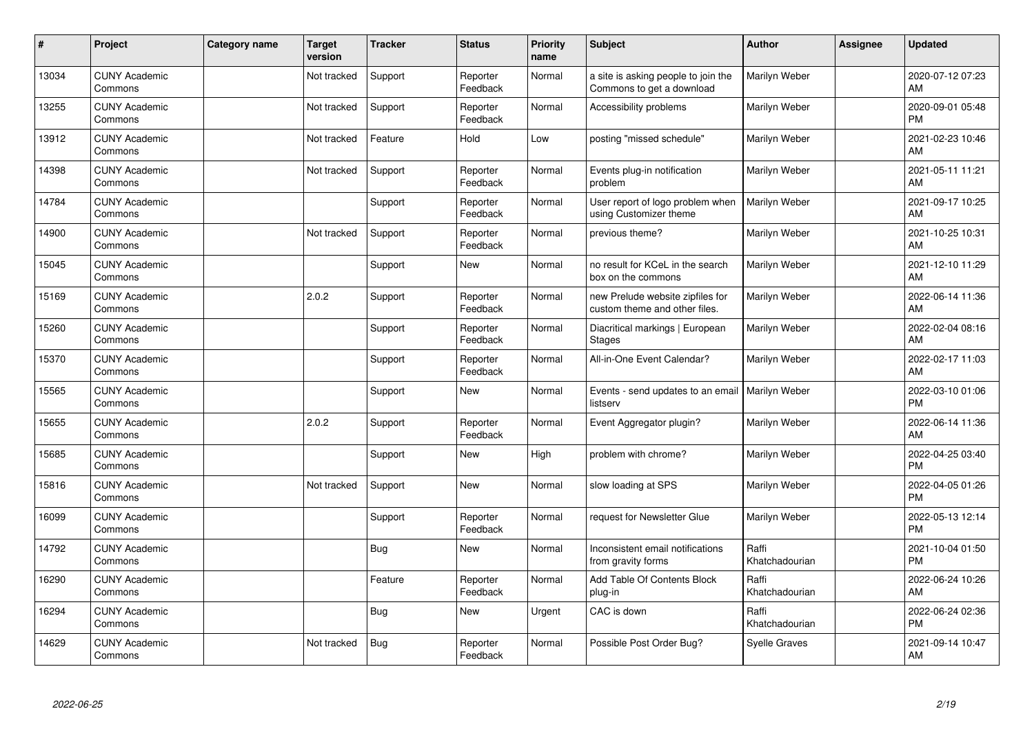| #     | Project                         | <b>Category name</b> | <b>Target</b><br>version | <b>Tracker</b> | <b>Status</b>        | <b>Priority</b><br>name | <b>Subject</b>                                                    | Author                  | Assignee | <b>Updated</b>                |
|-------|---------------------------------|----------------------|--------------------------|----------------|----------------------|-------------------------|-------------------------------------------------------------------|-------------------------|----------|-------------------------------|
| 13034 | <b>CUNY Academic</b><br>Commons |                      | Not tracked              | Support        | Reporter<br>Feedback | Normal                  | a site is asking people to join the<br>Commons to get a download  | Marilyn Weber           |          | 2020-07-12 07:23<br>AM        |
| 13255 | <b>CUNY Academic</b><br>Commons |                      | Not tracked              | Support        | Reporter<br>Feedback | Normal                  | Accessibility problems                                            | Marilyn Weber           |          | 2020-09-01 05:48<br><b>PM</b> |
| 13912 | <b>CUNY Academic</b><br>Commons |                      | Not tracked              | Feature        | Hold                 | Low                     | posting "missed schedule"                                         | Marilyn Weber           |          | 2021-02-23 10:46<br>AM        |
| 14398 | <b>CUNY Academic</b><br>Commons |                      | Not tracked              | Support        | Reporter<br>Feedback | Normal                  | Events plug-in notification<br>problem                            | Marilyn Weber           |          | 2021-05-11 11:21<br>AM        |
| 14784 | <b>CUNY Academic</b><br>Commons |                      |                          | Support        | Reporter<br>Feedback | Normal                  | User report of logo problem when<br>using Customizer theme        | Marilyn Weber           |          | 2021-09-17 10:25<br>AM        |
| 14900 | <b>CUNY Academic</b><br>Commons |                      | Not tracked              | Support        | Reporter<br>Feedback | Normal                  | previous theme?                                                   | Marilyn Weber           |          | 2021-10-25 10:31<br>AM        |
| 15045 | <b>CUNY Academic</b><br>Commons |                      |                          | Support        | <b>New</b>           | Normal                  | no result for KCeL in the search<br>box on the commons            | Marilyn Weber           |          | 2021-12-10 11:29<br>AM        |
| 15169 | <b>CUNY Academic</b><br>Commons |                      | 2.0.2                    | Support        | Reporter<br>Feedback | Normal                  | new Prelude website zipfiles for<br>custom theme and other files. | Marilyn Weber           |          | 2022-06-14 11:36<br>AM        |
| 15260 | <b>CUNY Academic</b><br>Commons |                      |                          | Support        | Reporter<br>Feedback | Normal                  | Diacritical markings   European<br><b>Stages</b>                  | Marilyn Weber           |          | 2022-02-04 08:16<br>AM        |
| 15370 | <b>CUNY Academic</b><br>Commons |                      |                          | Support        | Reporter<br>Feedback | Normal                  | All-in-One Event Calendar?                                        | Marilyn Weber           |          | 2022-02-17 11:03<br>AM        |
| 15565 | <b>CUNY Academic</b><br>Commons |                      |                          | Support        | <b>New</b>           | Normal                  | Events - send updates to an email<br>listserv                     | Marilyn Weber           |          | 2022-03-10 01:06<br><b>PM</b> |
| 15655 | <b>CUNY Academic</b><br>Commons |                      | 2.0.2                    | Support        | Reporter<br>Feedback | Normal                  | Event Aggregator plugin?                                          | Marilyn Weber           |          | 2022-06-14 11:36<br>AM        |
| 15685 | <b>CUNY Academic</b><br>Commons |                      |                          | Support        | <b>New</b>           | High                    | problem with chrome?                                              | Marilyn Weber           |          | 2022-04-25 03:40<br><b>PM</b> |
| 15816 | <b>CUNY Academic</b><br>Commons |                      | Not tracked              | Support        | <b>New</b>           | Normal                  | slow loading at SPS                                               | Marilyn Weber           |          | 2022-04-05 01:26<br>PM        |
| 16099 | <b>CUNY Academic</b><br>Commons |                      |                          | Support        | Reporter<br>Feedback | Normal                  | request for Newsletter Glue                                       | Marilyn Weber           |          | 2022-05-13 12:14<br><b>PM</b> |
| 14792 | <b>CUNY Academic</b><br>Commons |                      |                          | Bug            | <b>New</b>           | Normal                  | Inconsistent email notifications<br>from gravity forms            | Raffi<br>Khatchadourian |          | 2021-10-04 01:50<br><b>PM</b> |
| 16290 | <b>CUNY Academic</b><br>Commons |                      |                          | Feature        | Reporter<br>Feedback | Normal                  | Add Table Of Contents Block<br>plug-in                            | Raffi<br>Khatchadourian |          | 2022-06-24 10:26<br>AM        |
| 16294 | <b>CUNY Academic</b><br>Commons |                      |                          | <b>Bug</b>     | New                  | Urgent                  | CAC is down                                                       | Raffi<br>Khatchadourian |          | 2022-06-24 02:36<br><b>PM</b> |
| 14629 | <b>CUNY Academic</b><br>Commons |                      | Not tracked              | <b>Bug</b>     | Reporter<br>Feedback | Normal                  | Possible Post Order Bug?                                          | <b>Syelle Graves</b>    |          | 2021-09-14 10:47<br>AM        |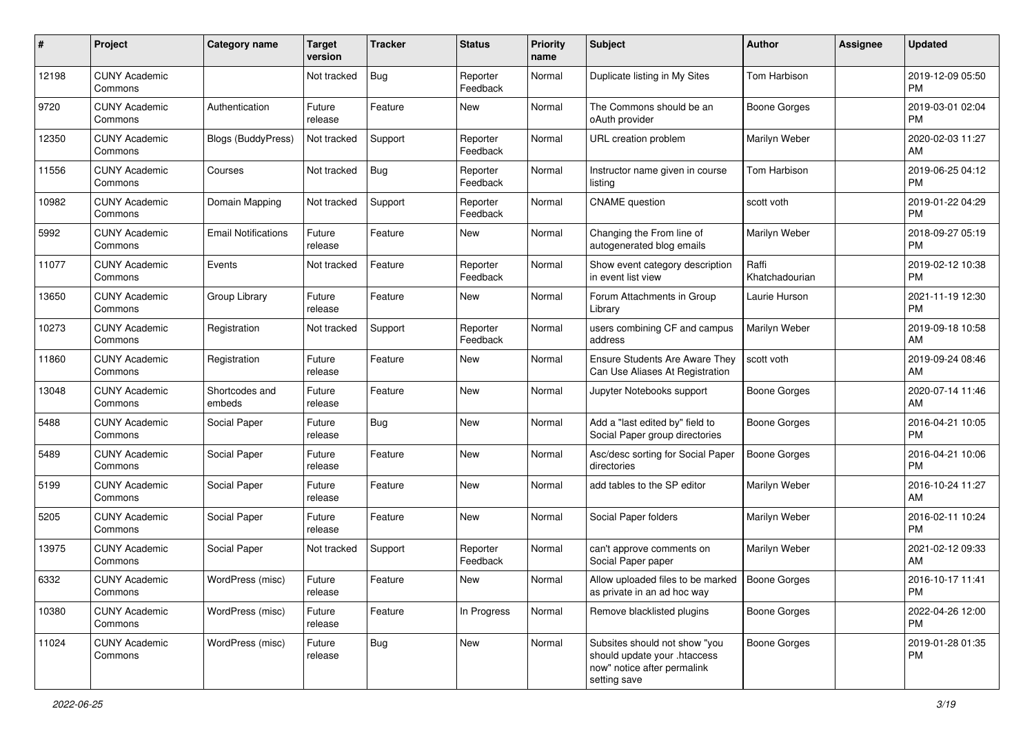| #     | Project                         | <b>Category name</b>       | <b>Target</b><br>version | <b>Tracker</b> | <b>Status</b>        | <b>Priority</b><br>name | Subject                                                                                                      | <b>Author</b>           | <b>Assignee</b> | <b>Updated</b>                |
|-------|---------------------------------|----------------------------|--------------------------|----------------|----------------------|-------------------------|--------------------------------------------------------------------------------------------------------------|-------------------------|-----------------|-------------------------------|
| 12198 | <b>CUNY Academic</b><br>Commons |                            | Not tracked              | <b>Bug</b>     | Reporter<br>Feedback | Normal                  | Duplicate listing in My Sites                                                                                | <b>Tom Harbison</b>     |                 | 2019-12-09 05:50<br>PM        |
| 9720  | <b>CUNY Academic</b><br>Commons | Authentication             | Future<br>release        | Feature        | New                  | Normal                  | The Commons should be an<br>oAuth provider                                                                   | <b>Boone Gorges</b>     |                 | 2019-03-01 02:04<br><b>PM</b> |
| 12350 | <b>CUNY Academic</b><br>Commons | <b>Blogs (BuddyPress)</b>  | Not tracked              | Support        | Reporter<br>Feedback | Normal                  | URL creation problem                                                                                         | Marilyn Weber           |                 | 2020-02-03 11:27<br>AM        |
| 11556 | <b>CUNY Academic</b><br>Commons | Courses                    | Not tracked              | Bug            | Reporter<br>Feedback | Normal                  | Instructor name given in course<br>listing                                                                   | Tom Harbison            |                 | 2019-06-25 04:12<br><b>PM</b> |
| 10982 | <b>CUNY Academic</b><br>Commons | Domain Mapping             | Not tracked              | Support        | Reporter<br>Feedback | Normal                  | <b>CNAME</b> question                                                                                        | scott voth              |                 | 2019-01-22 04:29<br><b>PM</b> |
| 5992  | <b>CUNY Academic</b><br>Commons | <b>Email Notifications</b> | Future<br>release        | Feature        | New                  | Normal                  | Changing the From line of<br>autogenerated blog emails                                                       | Marilyn Weber           |                 | 2018-09-27 05:19<br><b>PM</b> |
| 11077 | <b>CUNY Academic</b><br>Commons | Events                     | Not tracked              | Feature        | Reporter<br>Feedback | Normal                  | Show event category description<br>in event list view                                                        | Raffi<br>Khatchadourian |                 | 2019-02-12 10:38<br><b>PM</b> |
| 13650 | <b>CUNY Academic</b><br>Commons | Group Library              | Future<br>release        | Feature        | New                  | Normal                  | Forum Attachments in Group<br>Library                                                                        | Laurie Hurson           |                 | 2021-11-19 12:30<br><b>PM</b> |
| 10273 | <b>CUNY Academic</b><br>Commons | Registration               | Not tracked              | Support        | Reporter<br>Feedback | Normal                  | users combining CF and campus<br>address                                                                     | Marilyn Weber           |                 | 2019-09-18 10:58<br>AM        |
| 11860 | <b>CUNY Academic</b><br>Commons | Registration               | Future<br>release        | Feature        | New                  | Normal                  | <b>Ensure Students Are Aware They</b><br>Can Use Aliases At Registration                                     | scott voth              |                 | 2019-09-24 08:46<br>AM        |
| 13048 | <b>CUNY Academic</b><br>Commons | Shortcodes and<br>embeds   | Future<br>release        | Feature        | <b>New</b>           | Normal                  | Jupyter Notebooks support                                                                                    | <b>Boone Gorges</b>     |                 | 2020-07-14 11:46<br>AM        |
| 5488  | <b>CUNY Academic</b><br>Commons | Social Paper               | Future<br>release        | Bug            | <b>New</b>           | Normal                  | Add a "last edited by" field to<br>Social Paper group directories                                            | <b>Boone Gorges</b>     |                 | 2016-04-21 10:05<br><b>PM</b> |
| 5489  | <b>CUNY Academic</b><br>Commons | Social Paper               | Future<br>release        | Feature        | New                  | Normal                  | Asc/desc sorting for Social Paper<br>directories                                                             | <b>Boone Gorges</b>     |                 | 2016-04-21 10:06<br><b>PM</b> |
| 5199  | <b>CUNY Academic</b><br>Commons | Social Paper               | Future<br>release        | Feature        | New                  | Normal                  | add tables to the SP editor                                                                                  | Marilyn Weber           |                 | 2016-10-24 11:27<br>AM        |
| 5205  | <b>CUNY Academic</b><br>Commons | Social Paper               | Future<br>release        | Feature        | New                  | Normal                  | Social Paper folders                                                                                         | Marilyn Weber           |                 | 2016-02-11 10:24<br><b>PM</b> |
| 13975 | <b>CUNY Academic</b><br>Commons | Social Paper               | Not tracked              | Support        | Reporter<br>Feedback | Normal                  | can't approve comments on<br>Social Paper paper                                                              | Marilyn Weber           |                 | 2021-02-12 09:33<br>AM        |
| 6332  | <b>CUNY Academic</b><br>Commons | WordPress (misc)           | Future<br>release        | Feature        | New                  | Normal                  | Allow uploaded files to be marked<br>as private in an ad hoc way                                             | <b>Boone Gorges</b>     |                 | 2016-10-17 11:41<br>PM        |
| 10380 | <b>CUNY Academic</b><br>Commons | WordPress (misc)           | Future<br>release        | Feature        | In Progress          | Normal                  | Remove blacklisted plugins                                                                                   | Boone Gorges            |                 | 2022-04-26 12:00<br><b>PM</b> |
| 11024 | <b>CUNY Academic</b><br>Commons | WordPress (misc)           | Future<br>release        | Bug            | New                  | Normal                  | Subsites should not show "you<br>should update your .htaccess<br>now" notice after permalink<br>setting save | Boone Gorges            |                 | 2019-01-28 01:35<br><b>PM</b> |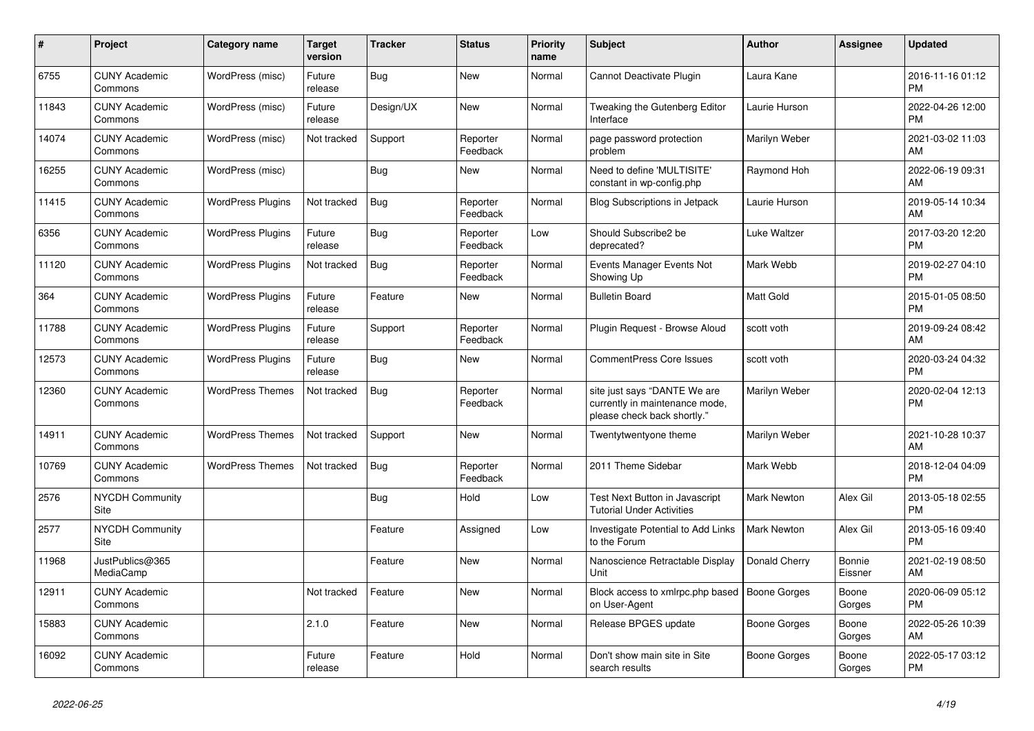| $\pmb{\#}$ | <b>Project</b>                  | Category name            | <b>Target</b><br>version | <b>Tracker</b> | <b>Status</b>        | <b>Priority</b><br>name | <b>Subject</b>                                                                                | <b>Author</b>       | <b>Assignee</b>   | <b>Updated</b>                |
|------------|---------------------------------|--------------------------|--------------------------|----------------|----------------------|-------------------------|-----------------------------------------------------------------------------------------------|---------------------|-------------------|-------------------------------|
| 6755       | <b>CUNY Academic</b><br>Commons | WordPress (misc)         | Future<br>release        | <b>Bug</b>     | <b>New</b>           | Normal                  | Cannot Deactivate Plugin                                                                      | Laura Kane          |                   | 2016-11-16 01:12<br><b>PM</b> |
| 11843      | <b>CUNY Academic</b><br>Commons | WordPress (misc)         | Future<br>release        | Design/UX      | <b>New</b>           | Normal                  | Tweaking the Gutenberg Editor<br>Interface                                                    | Laurie Hurson       |                   | 2022-04-26 12:00<br><b>PM</b> |
| 14074      | <b>CUNY Academic</b><br>Commons | WordPress (misc)         | Not tracked              | Support        | Reporter<br>Feedback | Normal                  | page password protection<br>problem                                                           | Marilyn Weber       |                   | 2021-03-02 11:03<br>AM        |
| 16255      | <b>CUNY Academic</b><br>Commons | WordPress (misc)         |                          | Bug            | New                  | Normal                  | Need to define 'MULTISITE'<br>constant in wp-config.php                                       | Raymond Hoh         |                   | 2022-06-19 09:31<br>AM        |
| 11415      | <b>CUNY Academic</b><br>Commons | <b>WordPress Plugins</b> | Not tracked              | <b>Bug</b>     | Reporter<br>Feedback | Normal                  | Blog Subscriptions in Jetpack                                                                 | Laurie Hurson       |                   | 2019-05-14 10:34<br>AM        |
| 6356       | <b>CUNY Academic</b><br>Commons | <b>WordPress Plugins</b> | Future<br>release        | Bug            | Reporter<br>Feedback | Low                     | Should Subscribe2 be<br>deprecated?                                                           | Luke Waltzer        |                   | 2017-03-20 12:20<br><b>PM</b> |
| 11120      | <b>CUNY Academic</b><br>Commons | <b>WordPress Plugins</b> | Not tracked              | Bug            | Reporter<br>Feedback | Normal                  | Events Manager Events Not<br>Showing Up                                                       | Mark Webb           |                   | 2019-02-27 04:10<br><b>PM</b> |
| 364        | <b>CUNY Academic</b><br>Commons | <b>WordPress Plugins</b> | Future<br>release        | Feature        | <b>New</b>           | Normal                  | <b>Bulletin Board</b>                                                                         | <b>Matt Gold</b>    |                   | 2015-01-05 08:50<br><b>PM</b> |
| 11788      | <b>CUNY Academic</b><br>Commons | <b>WordPress Plugins</b> | Future<br>release        | Support        | Reporter<br>Feedback | Normal                  | Plugin Request - Browse Aloud                                                                 | scott voth          |                   | 2019-09-24 08:42<br>AM        |
| 12573      | <b>CUNY Academic</b><br>Commons | <b>WordPress Plugins</b> | Future<br>release        | <b>Bug</b>     | <b>New</b>           | Normal                  | <b>CommentPress Core Issues</b>                                                               | scott voth          |                   | 2020-03-24 04:32<br><b>PM</b> |
| 12360      | <b>CUNY Academic</b><br>Commons | <b>WordPress Themes</b>  | Not tracked              | Bug            | Reporter<br>Feedback | Normal                  | site just says "DANTE We are<br>currently in maintenance mode,<br>please check back shortly." | Marilyn Weber       |                   | 2020-02-04 12:13<br><b>PM</b> |
| 14911      | <b>CUNY Academic</b><br>Commons | <b>WordPress Themes</b>  | Not tracked              | Support        | <b>New</b>           | Normal                  | Twentytwentyone theme                                                                         | Marilyn Weber       |                   | 2021-10-28 10:37<br>AM        |
| 10769      | <b>CUNY Academic</b><br>Commons | <b>WordPress Themes</b>  | Not tracked              | Bug            | Reporter<br>Feedback | Normal                  | 2011 Theme Sidebar                                                                            | Mark Webb           |                   | 2018-12-04 04:09<br><b>PM</b> |
| 2576       | <b>NYCDH Community</b><br>Site  |                          |                          | Bug            | Hold                 | Low                     | Test Next Button in Javascript<br><b>Tutorial Under Activities</b>                            | <b>Mark Newton</b>  | Alex Gil          | 2013-05-18 02:55<br><b>PM</b> |
| 2577       | <b>NYCDH Community</b><br>Site  |                          |                          | Feature        | Assigned             | Low                     | Investigate Potential to Add Links<br>to the Forum                                            | <b>Mark Newton</b>  | Alex Gil          | 2013-05-16 09:40<br><b>PM</b> |
| 11968      | JustPublics@365<br>MediaCamp    |                          |                          | Feature        | <b>New</b>           | Normal                  | Nanoscience Retractable Display<br>Unit                                                       | Donald Cherry       | Bonnie<br>Eissner | 2021-02-19 08:50<br>AM        |
| 12911      | <b>CUNY Academic</b><br>Commons |                          | Not tracked              | Feature        | <b>New</b>           | Normal                  | Block access to xmlrpc.php based<br>on User-Agent                                             | <b>Boone Gorges</b> | Boone<br>Gorges   | 2020-06-09 05:12<br><b>PM</b> |
| 15883      | <b>CUNY Academic</b><br>Commons |                          | 2.1.0                    | Feature        | <b>New</b>           | Normal                  | Release BPGES update                                                                          | <b>Boone Gorges</b> | Boone<br>Gorges   | 2022-05-26 10:39<br>AM        |
| 16092      | <b>CUNY Academic</b><br>Commons |                          | Future<br>release        | Feature        | Hold                 | Normal                  | Don't show main site in Site<br>search results                                                | Boone Gorges        | Boone<br>Gorges   | 2022-05-17 03:12<br><b>PM</b> |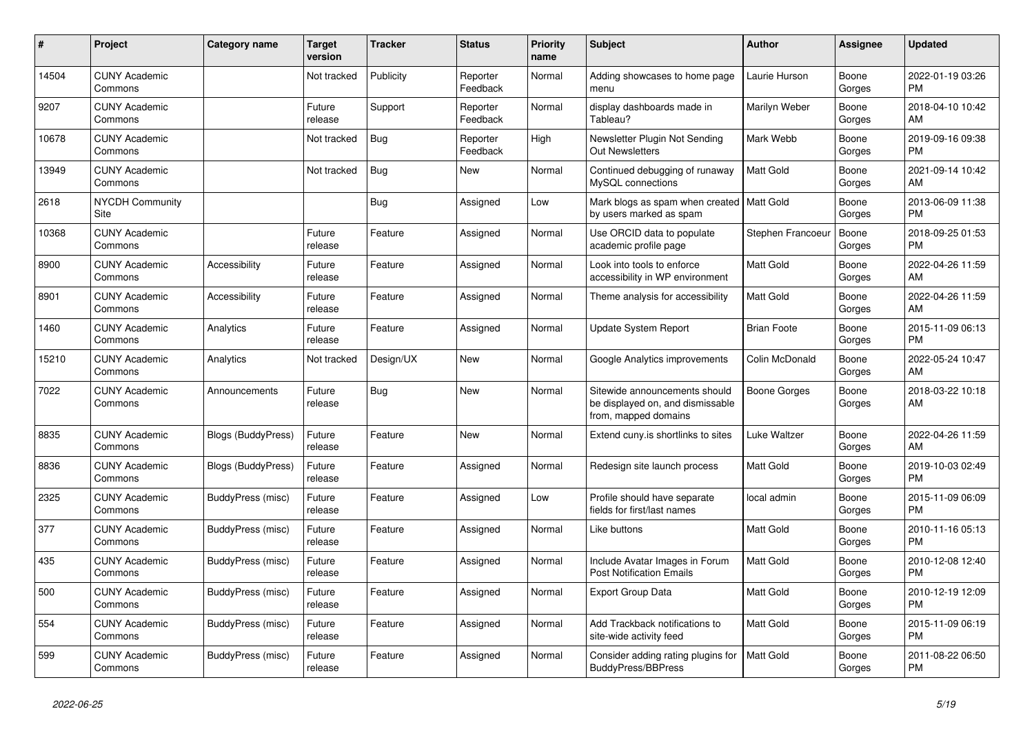| #     | <b>Project</b>                  | <b>Category name</b>      | <b>Target</b><br>version | Tracker    | <b>Status</b>        | <b>Priority</b><br>name | <b>Subject</b>                                                                            | Author             | Assignee        | <b>Updated</b>                |
|-------|---------------------------------|---------------------------|--------------------------|------------|----------------------|-------------------------|-------------------------------------------------------------------------------------------|--------------------|-----------------|-------------------------------|
| 14504 | <b>CUNY Academic</b><br>Commons |                           | Not tracked              | Publicity  | Reporter<br>Feedback | Normal                  | Adding showcases to home page<br>menu                                                     | Laurie Hurson      | Boone<br>Gorges | 2022-01-19 03:26<br><b>PM</b> |
| 9207  | <b>CUNY Academic</b><br>Commons |                           | Future<br>release        | Support    | Reporter<br>Feedback | Normal                  | display dashboards made in<br>Tableau?                                                    | Marilyn Weber      | Boone<br>Gorges | 2018-04-10 10:42<br>AM        |
| 10678 | <b>CUNY Academic</b><br>Commons |                           | Not tracked              | Bug        | Reporter<br>Feedback | High                    | Newsletter Plugin Not Sending<br><b>Out Newsletters</b>                                   | Mark Webb          | Boone<br>Gorges | 2019-09-16 09:38<br><b>PM</b> |
| 13949 | <b>CUNY Academic</b><br>Commons |                           | Not tracked              | <b>Bug</b> | New                  | Normal                  | Continued debugging of runaway<br>MySQL connections                                       | <b>Matt Gold</b>   | Boone<br>Gorges | 2021-09-14 10:42<br>AM        |
| 2618  | NYCDH Community<br>Site         |                           |                          | <b>Bug</b> | Assigned             | Low                     | Mark blogs as spam when created   Matt Gold<br>by users marked as spam                    |                    | Boone<br>Gorges | 2013-06-09 11:38<br><b>PM</b> |
| 10368 | <b>CUNY Academic</b><br>Commons |                           | Future<br>release        | Feature    | Assigned             | Normal                  | Use ORCID data to populate<br>academic profile page                                       | Stephen Francoeur  | Boone<br>Gorges | 2018-09-25 01:53<br><b>PM</b> |
| 8900  | <b>CUNY Academic</b><br>Commons | Accessibility             | Future<br>release        | Feature    | Assigned             | Normal                  | Look into tools to enforce<br>accessibility in WP environment                             | <b>Matt Gold</b>   | Boone<br>Gorges | 2022-04-26 11:59<br>AM        |
| 8901  | <b>CUNY Academic</b><br>Commons | Accessibility             | Future<br>release        | Feature    | Assigned             | Normal                  | Theme analysis for accessibility                                                          | <b>Matt Gold</b>   | Boone<br>Gorges | 2022-04-26 11:59<br>AM        |
| 1460  | <b>CUNY Academic</b><br>Commons | Analytics                 | Future<br>release        | Feature    | Assigned             | Normal                  | Update System Report                                                                      | <b>Brian Foote</b> | Boone<br>Gorges | 2015-11-09 06:13<br><b>PM</b> |
| 15210 | <b>CUNY Academic</b><br>Commons | Analytics                 | Not tracked              | Design/UX  | New                  | Normal                  | Google Analytics improvements                                                             | Colin McDonald     | Boone<br>Gorges | 2022-05-24 10:47<br>AM        |
| 7022  | <b>CUNY Academic</b><br>Commons | Announcements             | Future<br>release        | Bug        | <b>New</b>           | Normal                  | Sitewide announcements should<br>be displayed on, and dismissable<br>from, mapped domains | Boone Gorges       | Boone<br>Gorges | 2018-03-22 10:18<br>AM        |
| 8835  | <b>CUNY Academic</b><br>Commons | <b>Blogs (BuddyPress)</b> | Future<br>release        | Feature    | New                  | Normal                  | Extend cuny.is shortlinks to sites                                                        | Luke Waltzer       | Boone<br>Gorges | 2022-04-26 11:59<br>AM        |
| 8836  | <b>CUNY Academic</b><br>Commons | <b>Blogs (BuddyPress)</b> | Future<br>release        | Feature    | Assigned             | Normal                  | Redesign site launch process                                                              | <b>Matt Gold</b>   | Boone<br>Gorges | 2019-10-03 02:49<br><b>PM</b> |
| 2325  | <b>CUNY Academic</b><br>Commons | BuddyPress (misc)         | Future<br>release        | Feature    | Assigned             | Low                     | Profile should have separate<br>fields for first/last names                               | local admin        | Boone<br>Gorges | 2015-11-09 06:09<br><b>PM</b> |
| 377   | <b>CUNY Academic</b><br>Commons | BuddyPress (misc)         | Future<br>release        | Feature    | Assigned             | Normal                  | Like buttons                                                                              | <b>Matt Gold</b>   | Boone<br>Gorges | 2010-11-16 05:13<br><b>PM</b> |
| 435   | <b>CUNY Academic</b><br>Commons | BuddyPress (misc)         | Future<br>release        | Feature    | Assigned             | Normal                  | Include Avatar Images in Forum<br><b>Post Notification Emails</b>                         | <b>Matt Gold</b>   | Boone<br>Gorges | 2010-12-08 12:40<br><b>PM</b> |
| 500   | <b>CUNY Academic</b><br>Commons | BuddyPress (misc)         | Future<br>release        | Feature    | Assigned             | Normal                  | <b>Export Group Data</b>                                                                  | <b>Matt Gold</b>   | Boone<br>Gorges | 2010-12-19 12:09<br><b>PM</b> |
| 554   | <b>CUNY Academic</b><br>Commons | BuddyPress (misc)         | Future<br>release        | Feature    | Assigned             | Normal                  | Add Trackback notifications to<br>site-wide activity feed                                 | <b>Matt Gold</b>   | Boone<br>Gorges | 2015-11-09 06:19<br><b>PM</b> |
| 599   | <b>CUNY Academic</b><br>Commons | BuddyPress (misc)         | Future<br>release        | Feature    | Assigned             | Normal                  | Consider adding rating plugins for<br><b>BuddyPress/BBPress</b>                           | <b>Matt Gold</b>   | Boone<br>Gorges | 2011-08-22 06:50<br><b>PM</b> |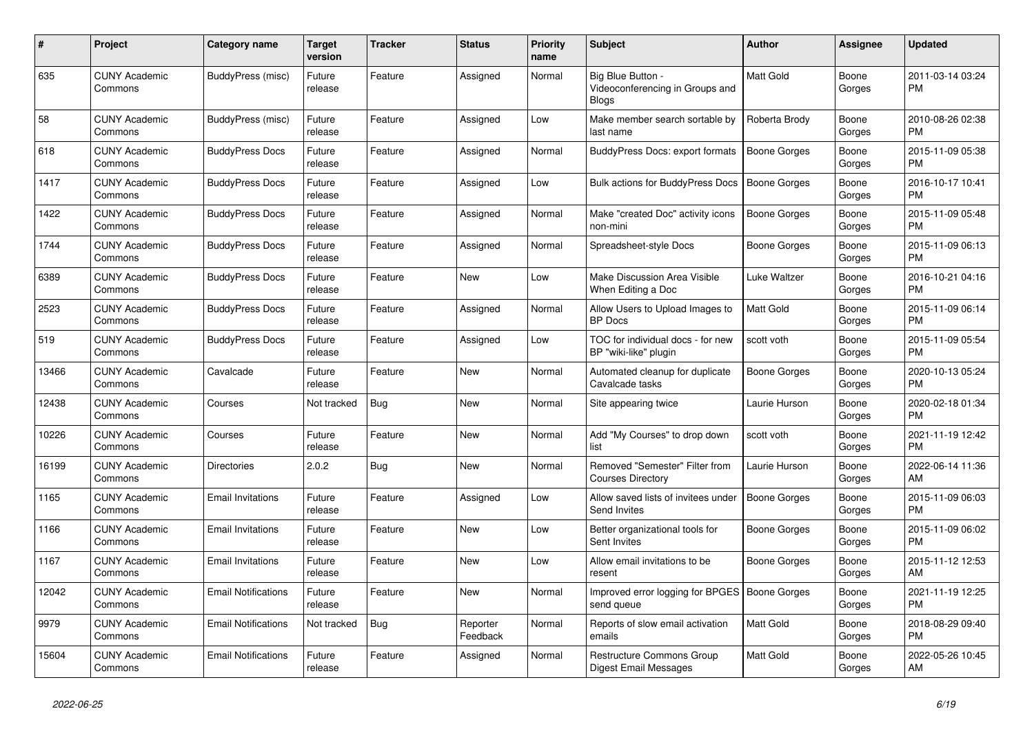| #     | <b>Project</b>                  | <b>Category name</b>       | Target<br>version | <b>Tracker</b> | <b>Status</b>        | <b>Priority</b><br>name | <b>Subject</b>                                                       | <b>Author</b>       | Assignee        | <b>Updated</b>                |
|-------|---------------------------------|----------------------------|-------------------|----------------|----------------------|-------------------------|----------------------------------------------------------------------|---------------------|-----------------|-------------------------------|
| 635   | <b>CUNY Academic</b><br>Commons | BuddyPress (misc)          | Future<br>release | Feature        | Assigned             | Normal                  | Big Blue Button -<br>Videoconferencing in Groups and<br><b>Blogs</b> | Matt Gold           | Boone<br>Gorges | 2011-03-14 03:24<br><b>PM</b> |
| 58    | <b>CUNY Academic</b><br>Commons | BuddyPress (misc)          | Future<br>release | Feature        | Assigned             | Low                     | Make member search sortable by<br>last name                          | Roberta Brody       | Boone<br>Gorges | 2010-08-26 02:38<br><b>PM</b> |
| 618   | <b>CUNY Academic</b><br>Commons | <b>BuddyPress Docs</b>     | Future<br>release | Feature        | Assigned             | Normal                  | BuddyPress Docs: export formats                                      | <b>Boone Gorges</b> | Boone<br>Gorges | 2015-11-09 05:38<br><b>PM</b> |
| 1417  | <b>CUNY Academic</b><br>Commons | <b>BuddyPress Docs</b>     | Future<br>release | Feature        | Assigned             | Low                     | <b>Bulk actions for BuddyPress Docs</b>                              | <b>Boone Gorges</b> | Boone<br>Gorges | 2016-10-17 10:41<br><b>PM</b> |
| 1422  | <b>CUNY Academic</b><br>Commons | <b>BuddyPress Docs</b>     | Future<br>release | Feature        | Assigned             | Normal                  | Make "created Doc" activity icons<br>non-mini                        | <b>Boone Gorges</b> | Boone<br>Gorges | 2015-11-09 05:48<br><b>PM</b> |
| 1744  | <b>CUNY Academic</b><br>Commons | <b>BuddyPress Docs</b>     | Future<br>release | Feature        | Assigned             | Normal                  | Spreadsheet-style Docs                                               | Boone Gorges        | Boone<br>Gorges | 2015-11-09 06:13<br><b>PM</b> |
| 6389  | <b>CUNY Academic</b><br>Commons | <b>BuddyPress Docs</b>     | Future<br>release | Feature        | <b>New</b>           | Low                     | Make Discussion Area Visible<br>When Editing a Doc                   | Luke Waltzer        | Boone<br>Gorges | 2016-10-21 04:16<br><b>PM</b> |
| 2523  | <b>CUNY Academic</b><br>Commons | <b>BuddyPress Docs</b>     | Future<br>release | Feature        | Assigned             | Normal                  | Allow Users to Upload Images to<br><b>BP</b> Docs                    | Matt Gold           | Boone<br>Gorges | 2015-11-09 06:14<br><b>PM</b> |
| 519   | <b>CUNY Academic</b><br>Commons | <b>BuddyPress Docs</b>     | Future<br>release | Feature        | Assigned             | Low                     | TOC for individual docs - for new<br>BP "wiki-like" plugin           | scott voth          | Boone<br>Gorges | 2015-11-09 05:54<br><b>PM</b> |
| 13466 | <b>CUNY Academic</b><br>Commons | Cavalcade                  | Future<br>release | Feature        | <b>New</b>           | Normal                  | Automated cleanup for duplicate<br>Cavalcade tasks                   | Boone Gorges        | Boone<br>Gorges | 2020-10-13 05:24<br><b>PM</b> |
| 12438 | <b>CUNY Academic</b><br>Commons | Courses                    | Not tracked       | Bug            | New                  | Normal                  | Site appearing twice                                                 | Laurie Hurson       | Boone<br>Gorges | 2020-02-18 01:34<br><b>PM</b> |
| 10226 | <b>CUNY Academic</b><br>Commons | Courses                    | Future<br>release | Feature        | <b>New</b>           | Normal                  | Add "My Courses" to drop down<br>list                                | scott voth          | Boone<br>Gorges | 2021-11-19 12:42<br><b>PM</b> |
| 16199 | <b>CUNY Academic</b><br>Commons | <b>Directories</b>         | 2.0.2             | <b>Bug</b>     | <b>New</b>           | Normal                  | Removed "Semester" Filter from<br><b>Courses Directory</b>           | Laurie Hurson       | Boone<br>Gorges | 2022-06-14 11:36<br>AM        |
| 1165  | <b>CUNY Academic</b><br>Commons | <b>Email Invitations</b>   | Future<br>release | Feature        | Assigned             | Low                     | Allow saved lists of invitees under<br>Send Invites                  | Boone Gorges        | Boone<br>Gorges | 2015-11-09 06:03<br><b>PM</b> |
| 1166  | <b>CUNY Academic</b><br>Commons | <b>Email Invitations</b>   | Future<br>release | Feature        | <b>New</b>           | Low                     | Better organizational tools for<br>Sent Invites                      | Boone Gorges        | Boone<br>Gorges | 2015-11-09 06:02<br><b>PM</b> |
| 1167  | <b>CUNY Academic</b><br>Commons | <b>Email Invitations</b>   | Future<br>release | Feature        | <b>New</b>           | Low                     | Allow email invitations to be<br>resent                              | Boone Gorges        | Boone<br>Gorges | 2015-11-12 12:53<br>AM        |
| 12042 | <b>CUNY Academic</b><br>Commons | <b>Email Notifications</b> | Future<br>release | Feature        | <b>New</b>           | Normal                  | Improved error logging for BPGES   Boone Gorges<br>send queue        |                     | Boone<br>Gorges | 2021-11-19 12:25<br><b>PM</b> |
| 9979  | <b>CUNY Academic</b><br>Commons | <b>Email Notifications</b> | Not tracked       | <b>Bug</b>     | Reporter<br>Feedback | Normal                  | Reports of slow email activation<br>emails                           | <b>Matt Gold</b>    | Boone<br>Gorges | 2018-08-29 09:40<br><b>PM</b> |
| 15604 | <b>CUNY Academic</b><br>Commons | <b>Email Notifications</b> | Future<br>release | Feature        | Assigned             | Normal                  | Restructure Commons Group<br>Digest Email Messages                   | <b>Matt Gold</b>    | Boone<br>Gorges | 2022-05-26 10:45<br>AM        |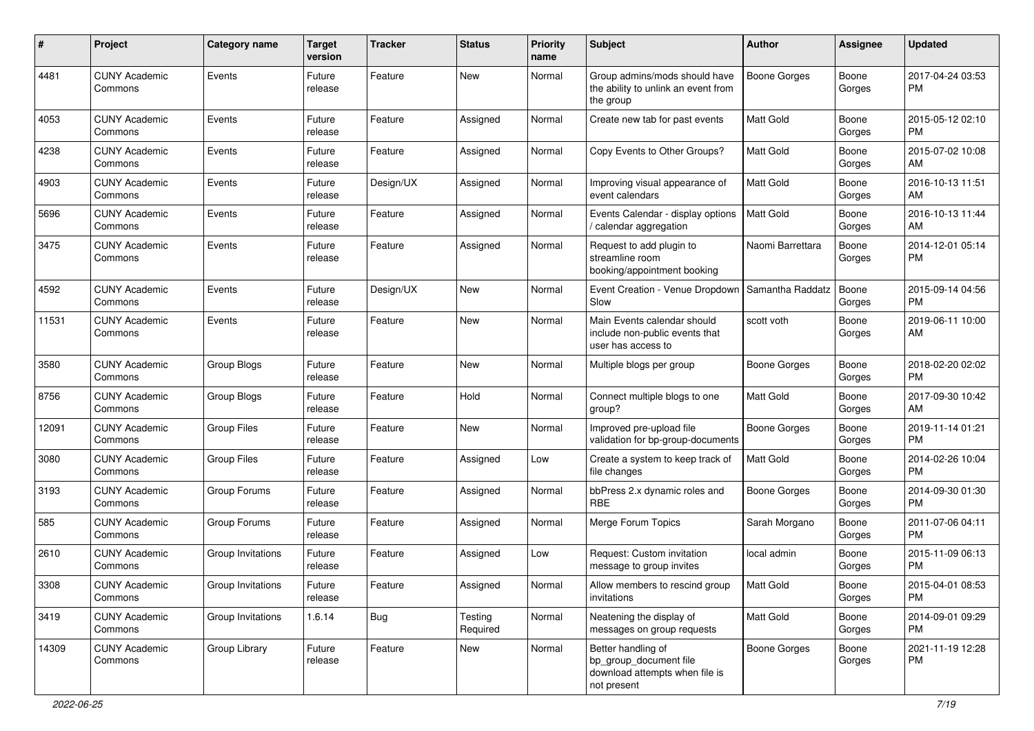| #     | Project                         | <b>Category name</b> | <b>Target</b><br>version | Tracker   | <b>Status</b>       | <b>Priority</b><br>name | Subject                                                                                       | <b>Author</b>       | Assignee        | <b>Updated</b>                |
|-------|---------------------------------|----------------------|--------------------------|-----------|---------------------|-------------------------|-----------------------------------------------------------------------------------------------|---------------------|-----------------|-------------------------------|
| 4481  | <b>CUNY Academic</b><br>Commons | Events               | Future<br>release        | Feature   | New                 | Normal                  | Group admins/mods should have<br>the ability to unlink an event from<br>the group             | Boone Gorges        | Boone<br>Gorges | 2017-04-24 03:53<br>PM        |
| 4053  | <b>CUNY Academic</b><br>Commons | Events               | Future<br>release        | Feature   | Assigned            | Normal                  | Create new tab for past events                                                                | Matt Gold           | Boone<br>Gorges | 2015-05-12 02:10<br>PM        |
| 4238  | <b>CUNY Academic</b><br>Commons | Events               | Future<br>release        | Feature   | Assigned            | Normal                  | Copy Events to Other Groups?                                                                  | Matt Gold           | Boone<br>Gorges | 2015-07-02 10:08<br>AM        |
| 4903  | <b>CUNY Academic</b><br>Commons | Events               | Future<br>release        | Design/UX | Assigned            | Normal                  | Improving visual appearance of<br>event calendars                                             | Matt Gold           | Boone<br>Gorges | 2016-10-13 11:51<br>AM        |
| 5696  | <b>CUNY Academic</b><br>Commons | Events               | Future<br>release        | Feature   | Assigned            | Normal                  | Events Calendar - display options<br>calendar aggregation                                     | <b>Matt Gold</b>    | Boone<br>Gorges | 2016-10-13 11:44<br>AM        |
| 3475  | <b>CUNY Academic</b><br>Commons | Events               | Future<br>release        | Feature   | Assigned            | Normal                  | Request to add plugin to<br>streamline room<br>booking/appointment booking                    | Naomi Barrettara    | Boone<br>Gorges | 2014-12-01 05:14<br>PM        |
| 4592  | <b>CUNY Academic</b><br>Commons | Events               | Future<br>release        | Design/UX | New                 | Normal                  | Event Creation - Venue Dropdown<br>Slow                                                       | Samantha Raddatz    | Boone<br>Gorges | 2015-09-14 04:56<br><b>PM</b> |
| 11531 | <b>CUNY Academic</b><br>Commons | Events               | Future<br>release        | Feature   | New                 | Normal                  | Main Events calendar should<br>include non-public events that<br>user has access to           | scott voth          | Boone<br>Gorges | 2019-06-11 10:00<br>AM        |
| 3580  | <b>CUNY Academic</b><br>Commons | Group Blogs          | Future<br>release        | Feature   | New                 | Normal                  | Multiple blogs per group                                                                      | <b>Boone Gorges</b> | Boone<br>Gorges | 2018-02-20 02:02<br>PM        |
| 8756  | <b>CUNY Academic</b><br>Commons | Group Blogs          | Future<br>release        | Feature   | Hold                | Normal                  | Connect multiple blogs to one<br>group?                                                       | Matt Gold           | Boone<br>Gorges | 2017-09-30 10:42<br>AM        |
| 12091 | <b>CUNY Academic</b><br>Commons | Group Files          | Future<br>release        | Feature   | New                 | Normal                  | Improved pre-upload file<br>validation for bp-group-documents                                 | <b>Boone Gorges</b> | Boone<br>Gorges | 2019-11-14 01:21<br>PM        |
| 3080  | <b>CUNY Academic</b><br>Commons | <b>Group Files</b>   | Future<br>release        | Feature   | Assigned            | Low                     | Create a system to keep track of<br>file changes                                              | Matt Gold           | Boone<br>Gorges | 2014-02-26 10:04<br><b>PM</b> |
| 3193  | <b>CUNY Academic</b><br>Commons | Group Forums         | Future<br>release        | Feature   | Assigned            | Normal                  | bbPress 2.x dynamic roles and<br><b>RBE</b>                                                   | <b>Boone Gorges</b> | Boone<br>Gorges | 2014-09-30 01:30<br>PM        |
| 585   | <b>CUNY Academic</b><br>Commons | Group Forums         | Future<br>release        | Feature   | Assigned            | Normal                  | Merge Forum Topics                                                                            | Sarah Morgano       | Boone<br>Gorges | 2011-07-06 04:11<br><b>PM</b> |
| 2610  | <b>CUNY Academic</b><br>Commons | Group Invitations    | Future<br>release        | Feature   | Assigned            | Low                     | Request: Custom invitation<br>message to group invites                                        | local admin         | Boone<br>Gorges | 2015-11-09 06:13<br>PM        |
| 3308  | <b>CUNY Academic</b><br>Commons | Group Invitations    | Future<br>release        | Feature   | Assigned            | Normal                  | Allow members to rescind group<br>invitations                                                 | Matt Gold           | Boone<br>Gorges | 2015-04-01 08:53<br><b>PM</b> |
| 3419  | <b>CUNY Academic</b><br>Commons | Group Invitations    | 1.6.14                   | Bug       | Testing<br>Required | Normal                  | Neatening the display of<br>messages on group requests                                        | Matt Gold           | Boone<br>Gorges | 2014-09-01 09:29<br><b>PM</b> |
| 14309 | <b>CUNY Academic</b><br>Commons | Group Library        | Future<br>release        | Feature   | New                 | Normal                  | Better handling of<br>bp_group_document file<br>download attempts when file is<br>not present | Boone Gorges        | Boone<br>Gorges | 2021-11-19 12:28<br>PM        |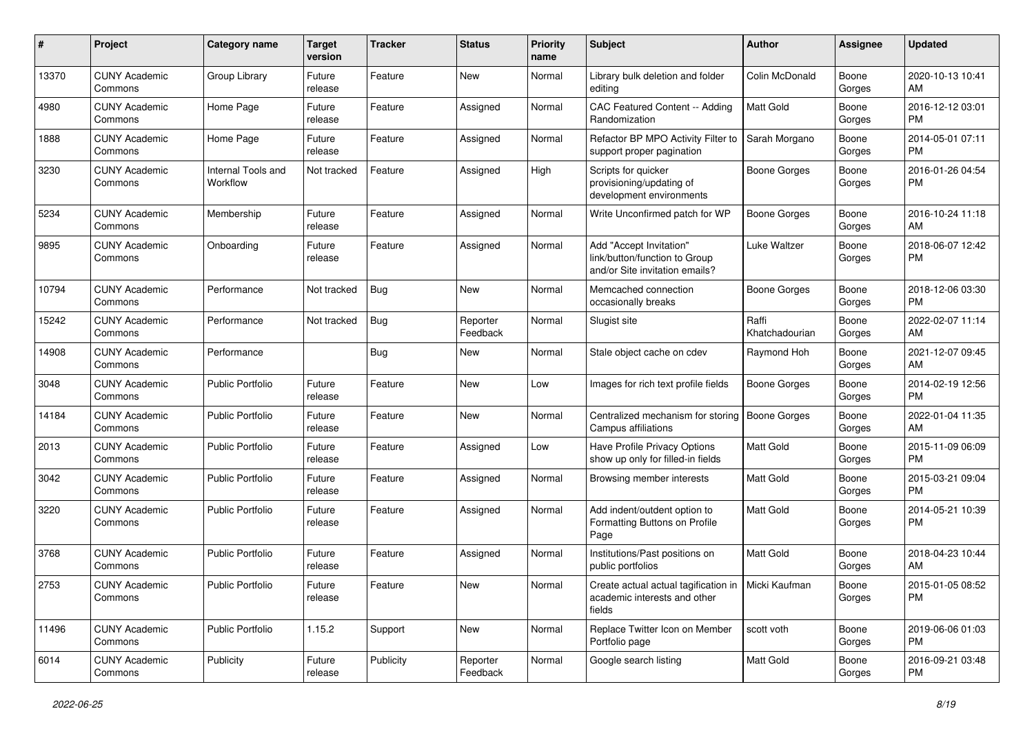| #     | Project                         | <b>Category name</b>           | <b>Target</b><br>version | <b>Tracker</b> | <b>Status</b>        | <b>Priority</b><br>name | <b>Subject</b>                                                                                 | Author                  | Assignee        | <b>Updated</b>                |
|-------|---------------------------------|--------------------------------|--------------------------|----------------|----------------------|-------------------------|------------------------------------------------------------------------------------------------|-------------------------|-----------------|-------------------------------|
| 13370 | <b>CUNY Academic</b><br>Commons | Group Library                  | Future<br>release        | Feature        | New                  | Normal                  | Library bulk deletion and folder<br>editing                                                    | Colin McDonald          | Boone<br>Gorges | 2020-10-13 10:41<br>AM        |
| 4980  | <b>CUNY Academic</b><br>Commons | Home Page                      | Future<br>release        | Feature        | Assigned             | Normal                  | CAC Featured Content -- Adding<br>Randomization                                                | <b>Matt Gold</b>        | Boone<br>Gorges | 2016-12-12 03:01<br><b>PM</b> |
| 1888  | <b>CUNY Academic</b><br>Commons | Home Page                      | Future<br>release        | Feature        | Assigned             | Normal                  | Refactor BP MPO Activity Filter to<br>support proper pagination                                | Sarah Morgano           | Boone<br>Gorges | 2014-05-01 07:11<br><b>PM</b> |
| 3230  | <b>CUNY Academic</b><br>Commons | Internal Tools and<br>Workflow | Not tracked              | Feature        | Assigned             | High                    | Scripts for quicker<br>provisioning/updating of<br>development environments                    | Boone Gorges            | Boone<br>Gorges | 2016-01-26 04:54<br><b>PM</b> |
| 5234  | <b>CUNY Academic</b><br>Commons | Membership                     | Future<br>release        | Feature        | Assigned             | Normal                  | Write Unconfirmed patch for WP                                                                 | <b>Boone Gorges</b>     | Boone<br>Gorges | 2016-10-24 11:18<br>AM        |
| 9895  | <b>CUNY Academic</b><br>Commons | Onboarding                     | Future<br>release        | Feature        | Assigned             | Normal                  | Add "Accept Invitation"<br>link/button/function to Group<br>and/or Site invitation emails?     | Luke Waltzer            | Boone<br>Gorges | 2018-06-07 12:42<br><b>PM</b> |
| 10794 | <b>CUNY Academic</b><br>Commons | Performance                    | Not tracked              | <b>Bug</b>     | <b>New</b>           | Normal                  | Memcached connection<br>occasionally breaks                                                    | Boone Gorges            | Boone<br>Gorges | 2018-12-06 03:30<br><b>PM</b> |
| 15242 | <b>CUNY Academic</b><br>Commons | Performance                    | Not tracked              | <b>Bug</b>     | Reporter<br>Feedback | Normal                  | Slugist site                                                                                   | Raffi<br>Khatchadourian | Boone<br>Gorges | 2022-02-07 11:14<br>AM        |
| 14908 | <b>CUNY Academic</b><br>Commons | Performance                    |                          | Bug            | New                  | Normal                  | Stale object cache on cdev                                                                     | Raymond Hoh             | Boone<br>Gorges | 2021-12-07 09:45<br>AM        |
| 3048  | <b>CUNY Academic</b><br>Commons | <b>Public Portfolio</b>        | Future<br>release        | Feature        | <b>New</b>           | Low                     | Images for rich text profile fields                                                            | <b>Boone Gorges</b>     | Boone<br>Gorges | 2014-02-19 12:56<br><b>PM</b> |
| 14184 | <b>CUNY Academic</b><br>Commons | <b>Public Portfolio</b>        | Future<br>release        | Feature        | New                  | Normal                  | Centralized mechanism for storing<br>Campus affiliations                                       | <b>Boone Gorges</b>     | Boone<br>Gorges | 2022-01-04 11:35<br>AM        |
| 2013  | <b>CUNY Academic</b><br>Commons | <b>Public Portfolio</b>        | Future<br>release        | Feature        | Assigned             | Low                     | Have Profile Privacy Options<br>show up only for filled-in fields                              | Matt Gold               | Boone<br>Gorges | 2015-11-09 06:09<br><b>PM</b> |
| 3042  | <b>CUNY Academic</b><br>Commons | <b>Public Portfolio</b>        | Future<br>release        | Feature        | Assigned             | Normal                  | Browsing member interests                                                                      | Matt Gold               | Boone<br>Gorges | 2015-03-21 09:04<br><b>PM</b> |
| 3220  | <b>CUNY Academic</b><br>Commons | <b>Public Portfolio</b>        | Future<br>release        | Feature        | Assigned             | Normal                  | Add indent/outdent option to<br>Formatting Buttons on Profile<br>Page                          | <b>Matt Gold</b>        | Boone<br>Gorges | 2014-05-21 10:39<br><b>PM</b> |
| 3768  | <b>CUNY Academic</b><br>Commons | <b>Public Portfolio</b>        | Future<br>release        | Feature        | Assigned             | Normal                  | Institutions/Past positions on<br>public portfolios                                            | <b>Matt Gold</b>        | Boone<br>Gorges | 2018-04-23 10:44<br>AM        |
| 2753  | <b>CUNY Academic</b><br>Commons | Public Portfolio               | Future<br>release        | Feature        | New                  | Normal                  | Create actual actual tagification in   Micki Kaufman<br>academic interests and other<br>fields |                         | Boone<br>Gorges | 2015-01-05 08:52<br><b>PM</b> |
| 11496 | <b>CUNY Academic</b><br>Commons | Public Portfolio               | 1.15.2                   | Support        | New                  | Normal                  | Replace Twitter Icon on Member<br>Portfolio page                                               | scott voth              | Boone<br>Gorges | 2019-06-06 01:03<br><b>PM</b> |
| 6014  | <b>CUNY Academic</b><br>Commons | Publicity                      | Future<br>release        | Publicity      | Reporter<br>Feedback | Normal                  | Google search listing                                                                          | Matt Gold               | Boone<br>Gorges | 2016-09-21 03:48<br><b>PM</b> |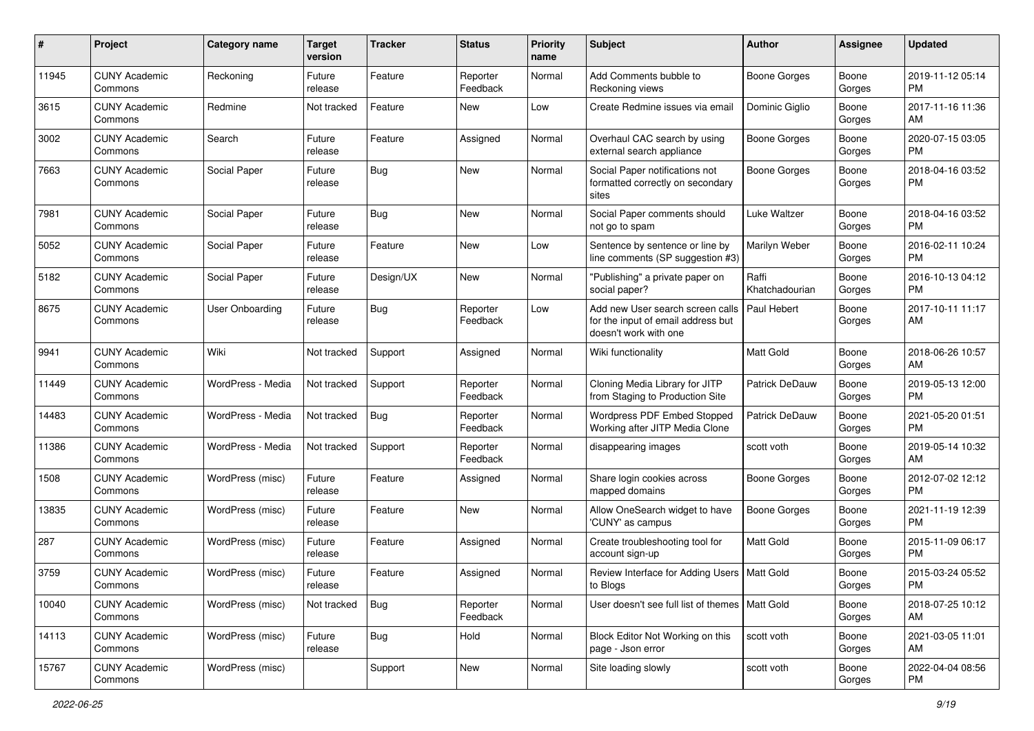| #     | Project                         | <b>Category name</b> | <b>Target</b><br>version | <b>Tracker</b> | <b>Status</b>        | <b>Priority</b><br>name | Subject                                                                                         | Author                  | <b>Assignee</b> | <b>Updated</b>                |
|-------|---------------------------------|----------------------|--------------------------|----------------|----------------------|-------------------------|-------------------------------------------------------------------------------------------------|-------------------------|-----------------|-------------------------------|
| 11945 | <b>CUNY Academic</b><br>Commons | Reckoning            | Future<br>release        | Feature        | Reporter<br>Feedback | Normal                  | Add Comments bubble to<br>Reckoning views                                                       | Boone Gorges            | Boone<br>Gorges | 2019-11-12 05:14<br>PM        |
| 3615  | <b>CUNY Academic</b><br>Commons | Redmine              | Not tracked              | Feature        | New                  | Low                     | Create Redmine issues via email                                                                 | Dominic Giglio          | Boone<br>Gorges | 2017-11-16 11:36<br>AM        |
| 3002  | <b>CUNY Academic</b><br>Commons | Search               | Future<br>release        | Feature        | Assigned             | Normal                  | Overhaul CAC search by using<br>external search appliance                                       | <b>Boone Gorges</b>     | Boone<br>Gorges | 2020-07-15 03:05<br><b>PM</b> |
| 7663  | <b>CUNY Academic</b><br>Commons | Social Paper         | Future<br>release        | <b>Bug</b>     | <b>New</b>           | Normal                  | Social Paper notifications not<br>formatted correctly on secondary<br>sites                     | <b>Boone Gorges</b>     | Boone<br>Gorges | 2018-04-16 03:52<br>PM        |
| 7981  | <b>CUNY Academic</b><br>Commons | Social Paper         | Future<br>release        | Bug            | <b>New</b>           | Normal                  | Social Paper comments should<br>not go to spam                                                  | Luke Waltzer            | Boone<br>Gorges | 2018-04-16 03:52<br>PM        |
| 5052  | <b>CUNY Academic</b><br>Commons | Social Paper         | Future<br>release        | Feature        | <b>New</b>           | Low                     | Sentence by sentence or line by<br>line comments (SP suggestion #3)                             | Marilyn Weber           | Boone<br>Gorges | 2016-02-11 10:24<br><b>PM</b> |
| 5182  | <b>CUNY Academic</b><br>Commons | Social Paper         | Future<br>release        | Design/UX      | New                  | Normal                  | "Publishing" a private paper on<br>social paper?                                                | Raffi<br>Khatchadourian | Boone<br>Gorges | 2016-10-13 04:12<br><b>PM</b> |
| 8675  | <b>CUNY Academic</b><br>Commons | User Onboarding      | Future<br>release        | Bug            | Reporter<br>Feedback | Low                     | Add new User search screen calls<br>for the input of email address but<br>doesn't work with one | Paul Hebert             | Boone<br>Gorges | 2017-10-11 11:17<br>AM        |
| 9941  | <b>CUNY Academic</b><br>Commons | Wiki                 | Not tracked              | Support        | Assigned             | Normal                  | Wiki functionality                                                                              | Matt Gold               | Boone<br>Gorges | 2018-06-26 10:57<br>AM        |
| 11449 | <b>CUNY Academic</b><br>Commons | WordPress - Media    | Not tracked              | Support        | Reporter<br>Feedback | Normal                  | Cloning Media Library for JITP<br>from Staging to Production Site                               | Patrick DeDauw          | Boone<br>Gorges | 2019-05-13 12:00<br>PM        |
| 14483 | <b>CUNY Academic</b><br>Commons | WordPress - Media    | Not tracked              | <b>Bug</b>     | Reporter<br>Feedback | Normal                  | Wordpress PDF Embed Stopped<br>Working after JITP Media Clone                                   | Patrick DeDauw          | Boone<br>Gorges | 2021-05-20 01:51<br><b>PM</b> |
| 11386 | <b>CUNY Academic</b><br>Commons | WordPress - Media    | Not tracked              | Support        | Reporter<br>Feedback | Normal                  | disappearing images                                                                             | scott voth              | Boone<br>Gorges | 2019-05-14 10:32<br>AM        |
| 1508  | <b>CUNY Academic</b><br>Commons | WordPress (misc)     | Future<br>release        | Feature        | Assigned             | Normal                  | Share login cookies across<br>mapped domains                                                    | <b>Boone Gorges</b>     | Boone<br>Gorges | 2012-07-02 12:12<br><b>PM</b> |
| 13835 | <b>CUNY Academic</b><br>Commons | WordPress (misc)     | Future<br>release        | Feature        | <b>New</b>           | Normal                  | Allow OneSearch widget to have<br>'CUNY' as campus                                              | <b>Boone Gorges</b>     | Boone<br>Gorges | 2021-11-19 12:39<br><b>PM</b> |
| 287   | <b>CUNY Academic</b><br>Commons | WordPress (misc)     | Future<br>release        | Feature        | Assigned             | Normal                  | Create troubleshooting tool for<br>account sign-up                                              | Matt Gold               | Boone<br>Gorges | 2015-11-09 06:17<br><b>PM</b> |
| 3759  | <b>CUNY Academic</b><br>Commons | WordPress (misc)     | Future<br>release        | Feature        | Assigned             | Normal                  | Review Interface for Adding Users   Matt Gold<br>to Blogs                                       |                         | Boone<br>Gorges | 2015-03-24 05:52<br>PM        |
| 10040 | <b>CUNY Academic</b><br>Commons | WordPress (misc)     | Not tracked              | <b>Bug</b>     | Reporter<br>Feedback | Normal                  | User doesn't see full list of themes   Matt Gold                                                |                         | Boone<br>Gorges | 2018-07-25 10:12<br>AM        |
| 14113 | <b>CUNY Academic</b><br>Commons | WordPress (misc)     | Future<br>release        | <b>Bug</b>     | Hold                 | Normal                  | Block Editor Not Working on this<br>page - Json error                                           | scott voth              | Boone<br>Gorges | 2021-03-05 11:01<br>AM        |
| 15767 | <b>CUNY Academic</b><br>Commons | WordPress (misc)     |                          | Support        | New                  | Normal                  | Site loading slowly                                                                             | scott voth              | Boone<br>Gorges | 2022-04-04 08:56<br>PM        |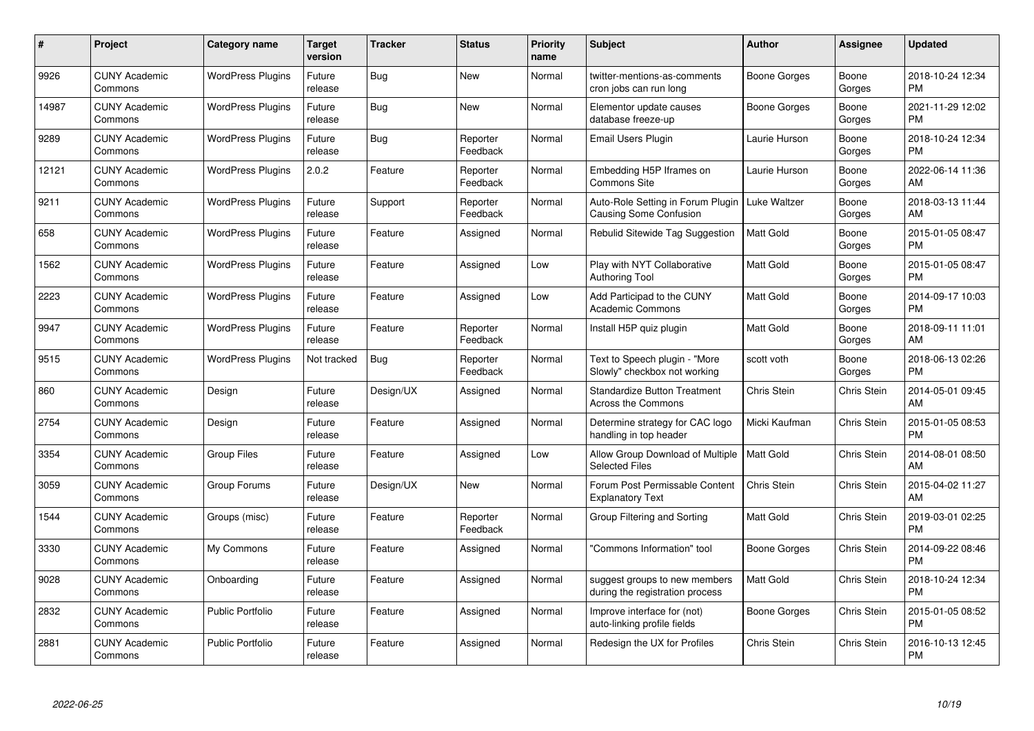| $\#$  | Project                         | <b>Category name</b>     | <b>Target</b><br>version | <b>Tracker</b> | <b>Status</b>        | <b>Priority</b><br>name | <b>Subject</b>                                                     | Author              | <b>Assignee</b> | <b>Updated</b>                |
|-------|---------------------------------|--------------------------|--------------------------|----------------|----------------------|-------------------------|--------------------------------------------------------------------|---------------------|-----------------|-------------------------------|
| 9926  | <b>CUNY Academic</b><br>Commons | <b>WordPress Plugins</b> | Future<br>release        | <b>Bug</b>     | <b>New</b>           | Normal                  | twitter-mentions-as-comments<br>cron jobs can run long             | <b>Boone Gorges</b> | Boone<br>Gorges | 2018-10-24 12:34<br><b>PM</b> |
| 14987 | <b>CUNY Academic</b><br>Commons | <b>WordPress Plugins</b> | Future<br>release        | Bug            | <b>New</b>           | Normal                  | Elementor update causes<br>database freeze-up                      | Boone Gorges        | Boone<br>Gorges | 2021-11-29 12:02<br><b>PM</b> |
| 9289  | <b>CUNY Academic</b><br>Commons | <b>WordPress Plugins</b> | Future<br>release        | <b>Bug</b>     | Reporter<br>Feedback | Normal                  | Email Users Plugin                                                 | Laurie Hurson       | Boone<br>Gorges | 2018-10-24 12:34<br><b>PM</b> |
| 12121 | <b>CUNY Academic</b><br>Commons | <b>WordPress Plugins</b> | 2.0.2                    | Feature        | Reporter<br>Feedback | Normal                  | Embedding H5P Iframes on<br><b>Commons Site</b>                    | Laurie Hurson       | Boone<br>Gorges | 2022-06-14 11:36<br>AM        |
| 9211  | <b>CUNY Academic</b><br>Commons | <b>WordPress Plugins</b> | Future<br>release        | Support        | Reporter<br>Feedback | Normal                  | Auto-Role Setting in Forum Plugin<br><b>Causing Some Confusion</b> | <b>Luke Waltzer</b> | Boone<br>Gorges | 2018-03-13 11:44<br>AM        |
| 658   | <b>CUNY Academic</b><br>Commons | <b>WordPress Plugins</b> | Future<br>release        | Feature        | Assigned             | Normal                  | Rebulid Sitewide Tag Suggestion                                    | <b>Matt Gold</b>    | Boone<br>Gorges | 2015-01-05 08:47<br><b>PM</b> |
| 1562  | <b>CUNY Academic</b><br>Commons | <b>WordPress Plugins</b> | Future<br>release        | Feature        | Assigned             | Low                     | Play with NYT Collaborative<br><b>Authoring Tool</b>               | Matt Gold           | Boone<br>Gorges | 2015-01-05 08:47<br><b>PM</b> |
| 2223  | <b>CUNY Academic</b><br>Commons | <b>WordPress Plugins</b> | Future<br>release        | Feature        | Assigned             | Low                     | Add Participad to the CUNY<br><b>Academic Commons</b>              | <b>Matt Gold</b>    | Boone<br>Gorges | 2014-09-17 10:03<br><b>PM</b> |
| 9947  | <b>CUNY Academic</b><br>Commons | <b>WordPress Plugins</b> | Future<br>release        | Feature        | Reporter<br>Feedback | Normal                  | Install H5P quiz plugin                                            | <b>Matt Gold</b>    | Boone<br>Gorges | 2018-09-11 11:01<br>AM        |
| 9515  | <b>CUNY Academic</b><br>Commons | <b>WordPress Plugins</b> | Not tracked              | Bug            | Reporter<br>Feedback | Normal                  | Text to Speech plugin - "More<br>Slowly" checkbox not working      | scott voth          | Boone<br>Gorges | 2018-06-13 02:26<br><b>PM</b> |
| 860   | <b>CUNY Academic</b><br>Commons | Design                   | Future<br>release        | Design/UX      | Assigned             | Normal                  | <b>Standardize Button Treatment</b><br>Across the Commons          | Chris Stein         | Chris Stein     | 2014-05-01 09:45<br>AM        |
| 2754  | <b>CUNY Academic</b><br>Commons | Design                   | Future<br>release        | Feature        | Assigned             | Normal                  | Determine strategy for CAC logo<br>handling in top header          | Micki Kaufman       | Chris Stein     | 2015-01-05 08:53<br><b>PM</b> |
| 3354  | <b>CUNY Academic</b><br>Commons | Group Files              | Future<br>release        | Feature        | Assigned             | Low                     | Allow Group Download of Multiple<br><b>Selected Files</b>          | Matt Gold           | Chris Stein     | 2014-08-01 08:50<br>AM        |
| 3059  | <b>CUNY Academic</b><br>Commons | Group Forums             | Future<br>release        | Design/UX      | <b>New</b>           | Normal                  | Forum Post Permissable Content<br><b>Explanatory Text</b>          | Chris Stein         | Chris Stein     | 2015-04-02 11:27<br>AM        |
| 1544  | <b>CUNY Academic</b><br>Commons | Groups (misc)            | Future<br>release        | Feature        | Reporter<br>Feedback | Normal                  | Group Filtering and Sorting                                        | Matt Gold           | Chris Stein     | 2019-03-01 02:25<br><b>PM</b> |
| 3330  | <b>CUNY Academic</b><br>Commons | My Commons               | Future<br>release        | Feature        | Assigned             | Normal                  | 'Commons Information" tool                                         | Boone Gorges        | Chris Stein     | 2014-09-22 08:46<br><b>PM</b> |
| 9028  | <b>CUNY Academic</b><br>Commons | Onboarding               | Future<br>release        | Feature        | Assigned             | Normal                  | suggest groups to new members<br>during the registration process   | <b>Matt Gold</b>    | Chris Stein     | 2018-10-24 12:34<br><b>PM</b> |
| 2832  | <b>CUNY Academic</b><br>Commons | Public Portfolio         | Future<br>release        | Feature        | Assigned             | Normal                  | Improve interface for (not)<br>auto-linking profile fields         | Boone Gorges        | Chris Stein     | 2015-01-05 08:52<br><b>PM</b> |
| 2881  | CUNY Academic<br>Commons        | <b>Public Portfolio</b>  | Future<br>release        | Feature        | Assigned             | Normal                  | Redesign the UX for Profiles                                       | Chris Stein         | Chris Stein     | 2016-10-13 12:45<br>PM        |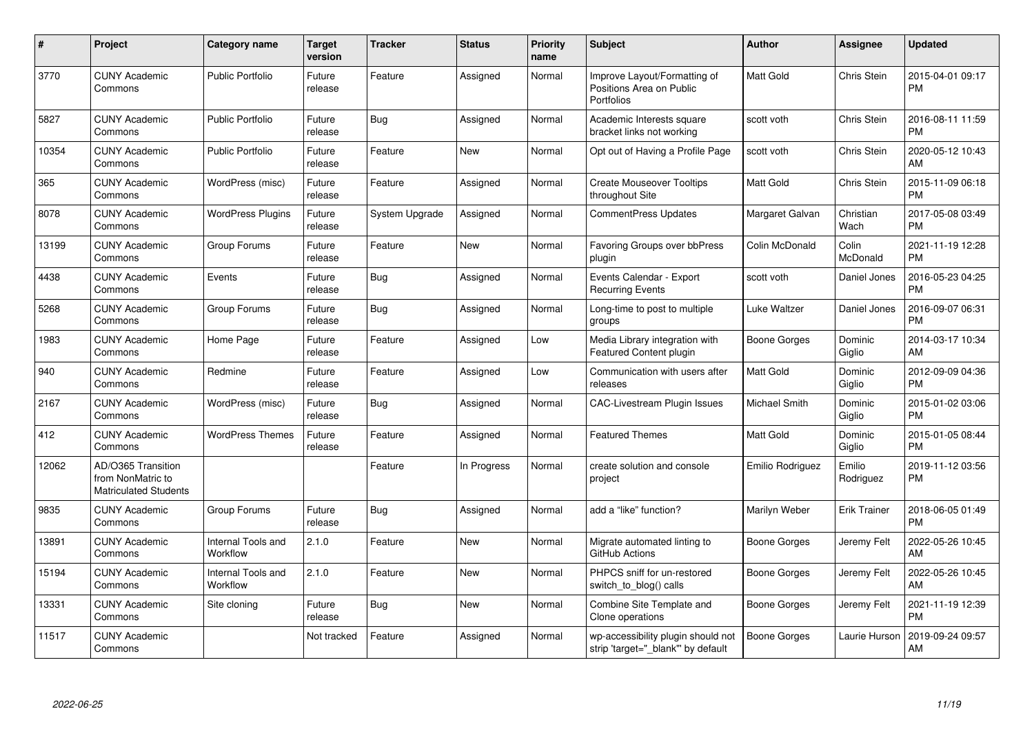| #     | Project                                                                 | <b>Category name</b>           | Target<br>version | <b>Tracker</b> | <b>Status</b> | <b>Priority</b><br>name | <b>Subject</b>                                                           | <b>Author</b>    | <b>Assignee</b>     | <b>Updated</b>                |
|-------|-------------------------------------------------------------------------|--------------------------------|-------------------|----------------|---------------|-------------------------|--------------------------------------------------------------------------|------------------|---------------------|-------------------------------|
| 3770  | <b>CUNY Academic</b><br>Commons                                         | Public Portfolio               | Future<br>release | Feature        | Assigned      | Normal                  | Improve Layout/Formatting of<br>Positions Area on Public<br>Portfolios   | <b>Matt Gold</b> | Chris Stein         | 2015-04-01 09:17<br><b>PM</b> |
| 5827  | <b>CUNY Academic</b><br>Commons                                         | <b>Public Portfolio</b>        | Future<br>release | <b>Bug</b>     | Assigned      | Normal                  | Academic Interests square<br>bracket links not working                   | scott voth       | Chris Stein         | 2016-08-11 11:59<br><b>PM</b> |
| 10354 | <b>CUNY Academic</b><br>Commons                                         | <b>Public Portfolio</b>        | Future<br>release | Feature        | <b>New</b>    | Normal                  | Opt out of Having a Profile Page                                         | scott voth       | Chris Stein         | 2020-05-12 10:43<br>AM        |
| 365   | <b>CUNY Academic</b><br>Commons                                         | WordPress (misc)               | Future<br>release | Feature        | Assigned      | Normal                  | <b>Create Mouseover Tooltips</b><br>throughout Site                      | Matt Gold        | Chris Stein         | 2015-11-09 06:18<br><b>PM</b> |
| 8078  | <b>CUNY Academic</b><br>Commons                                         | <b>WordPress Plugins</b>       | Future<br>release | System Upgrade | Assigned      | Normal                  | <b>CommentPress Updates</b>                                              | Margaret Galvan  | Christian<br>Wach   | 2017-05-08 03:49<br><b>PM</b> |
| 13199 | <b>CUNY Academic</b><br>Commons                                         | Group Forums                   | Future<br>release | Feature        | <b>New</b>    | Normal                  | Favoring Groups over bbPress<br>plugin                                   | Colin McDonald   | Colin<br>McDonald   | 2021-11-19 12:28<br><b>PM</b> |
| 4438  | <b>CUNY Academic</b><br>Commons                                         | Events                         | Future<br>release | Bug            | Assigned      | Normal                  | Events Calendar - Export<br><b>Recurring Events</b>                      | scott voth       | Daniel Jones        | 2016-05-23 04:25<br><b>PM</b> |
| 5268  | <b>CUNY Academic</b><br>Commons                                         | Group Forums                   | Future<br>release | <b>Bug</b>     | Assigned      | Normal                  | Long-time to post to multiple<br>groups                                  | Luke Waltzer     | Daniel Jones        | 2016-09-07 06:31<br><b>PM</b> |
| 1983  | <b>CUNY Academic</b><br>Commons                                         | Home Page                      | Future<br>release | Feature        | Assigned      | Low                     | Media Library integration with<br>Featured Content plugin                | Boone Gorges     | Dominic<br>Giglio   | 2014-03-17 10:34<br>AM        |
| 940   | <b>CUNY Academic</b><br>Commons                                         | Redmine                        | Future<br>release | Feature        | Assigned      | Low                     | Communication with users after<br>releases                               | Matt Gold        | Dominic<br>Giglio   | 2012-09-09 04:36<br>PM        |
| 2167  | <b>CUNY Academic</b><br>Commons                                         | WordPress (misc)               | Future<br>release | Bug            | Assigned      | Normal                  | <b>CAC-Livestream Plugin Issues</b>                                      | Michael Smith    | Dominic<br>Giglio   | 2015-01-02 03:06<br><b>PM</b> |
| 412   | <b>CUNY Academic</b><br>Commons                                         | <b>WordPress Themes</b>        | Future<br>release | Feature        | Assigned      | Normal                  | <b>Featured Themes</b>                                                   | <b>Matt Gold</b> | Dominic<br>Giglio   | 2015-01-05 08:44<br><b>PM</b> |
| 12062 | AD/O365 Transition<br>from NonMatric to<br><b>Matriculated Students</b> |                                |                   | Feature        | In Progress   | Normal                  | create solution and console<br>project                                   | Emilio Rodriguez | Emilio<br>Rodriguez | 2019-11-12 03:56<br><b>PM</b> |
| 9835  | <b>CUNY Academic</b><br>Commons                                         | Group Forums                   | Future<br>release | Bug            | Assigned      | Normal                  | add a "like" function?                                                   | Marilyn Weber    | <b>Erik Trainer</b> | 2018-06-05 01:49<br><b>PM</b> |
| 13891 | <b>CUNY Academic</b><br>Commons                                         | Internal Tools and<br>Workflow | 2.1.0             | Feature        | <b>New</b>    | Normal                  | Migrate automated linting to<br>GitHub Actions                           | Boone Gorges     | Jeremy Felt         | 2022-05-26 10:45<br>AM        |
| 15194 | <b>CUNY Academic</b><br>Commons                                         | Internal Tools and<br>Workflow | 2.1.0             | Feature        | <b>New</b>    | Normal                  | PHPCS sniff for un-restored<br>switch_to_blog() calls                    | Boone Gorges     | Jeremy Felt         | 2022-05-26 10:45<br>AM        |
| 13331 | <b>CUNY Academic</b><br>Commons                                         | Site cloning                   | Future<br>release | <b>Bug</b>     | <b>New</b>    | Normal                  | Combine Site Template and<br>Clone operations                            | Boone Gorges     | Jeremy Felt         | 2021-11-19 12:39<br><b>PM</b> |
| 11517 | <b>CUNY Academic</b><br>Commons                                         |                                | Not tracked       | Feature        | Assigned      | Normal                  | wp-accessibility plugin should not<br>strip 'target="_blank"' by default | Boone Gorges     | Laurie Hurson       | 2019-09-24 09:57<br>AM        |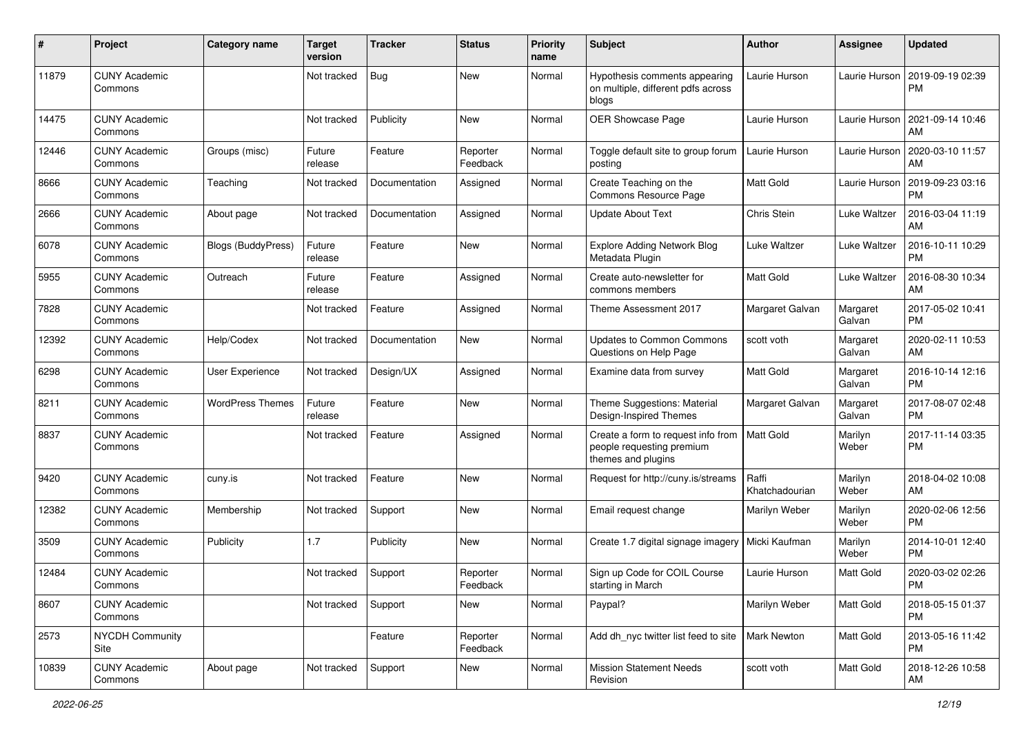| #     | Project                         | <b>Category name</b>      | <b>Target</b><br>version | <b>Tracker</b> | <b>Status</b>        | <b>Priority</b><br>name | Subject                                                                               | Author                  | <b>Assignee</b>    | <b>Updated</b>                |
|-------|---------------------------------|---------------------------|--------------------------|----------------|----------------------|-------------------------|---------------------------------------------------------------------------------------|-------------------------|--------------------|-------------------------------|
| 11879 | <b>CUNY Academic</b><br>Commons |                           | Not tracked              | <b>Bug</b>     | New                  | Normal                  | Hypothesis comments appearing<br>on multiple, different pdfs across<br>blogs          | Laurie Hurson           | Laurie Hurson      | 2019-09-19 02:39<br><b>PM</b> |
| 14475 | <b>CUNY Academic</b><br>Commons |                           | Not tracked              | Publicity      | <b>New</b>           | Normal                  | OER Showcase Page                                                                     | Laurie Hurson           | Laurie Hurson      | 2021-09-14 10:46<br>AM        |
| 12446 | <b>CUNY Academic</b><br>Commons | Groups (misc)             | Future<br>release        | Feature        | Reporter<br>Feedback | Normal                  | Toggle default site to group forum<br>posting                                         | Laurie Hurson           | Laurie Hurson      | 2020-03-10 11:57<br>AM        |
| 8666  | <b>CUNY Academic</b><br>Commons | Teaching                  | Not tracked              | Documentation  | Assigned             | Normal                  | Create Teaching on the<br>Commons Resource Page                                       | <b>Matt Gold</b>        | Laurie Hurson      | 2019-09-23 03:16<br><b>PM</b> |
| 2666  | <b>CUNY Academic</b><br>Commons | About page                | Not tracked              | Documentation  | Assigned             | Normal                  | <b>Update About Text</b>                                                              | Chris Stein             | Luke Waltzer       | 2016-03-04 11:19<br>AM        |
| 6078  | <b>CUNY Academic</b><br>Commons | <b>Blogs (BuddyPress)</b> | Future<br>release        | Feature        | New                  | Normal                  | <b>Explore Adding Network Blog</b><br>Metadata Plugin                                 | Luke Waltzer            | Luke Waltzer       | 2016-10-11 10:29<br><b>PM</b> |
| 5955  | <b>CUNY Academic</b><br>Commons | Outreach                  | Future<br>release        | Feature        | Assigned             | Normal                  | Create auto-newsletter for<br>commons members                                         | <b>Matt Gold</b>        | Luke Waltzer       | 2016-08-30 10:34<br>AM        |
| 7828  | <b>CUNY Academic</b><br>Commons |                           | Not tracked              | Feature        | Assigned             | Normal                  | Theme Assessment 2017                                                                 | Margaret Galvan         | Margaret<br>Galvan | 2017-05-02 10:41<br><b>PM</b> |
| 12392 | <b>CUNY Academic</b><br>Commons | Help/Codex                | Not tracked              | Documentation  | New                  | Normal                  | Updates to Common Commons<br>Questions on Help Page                                   | scott voth              | Margaret<br>Galvan | 2020-02-11 10:53<br>AM        |
| 6298  | <b>CUNY Academic</b><br>Commons | User Experience           | Not tracked              | Design/UX      | Assigned             | Normal                  | Examine data from survey                                                              | <b>Matt Gold</b>        | Margaret<br>Galvan | 2016-10-14 12:16<br><b>PM</b> |
| 8211  | <b>CUNY Academic</b><br>Commons | <b>WordPress Themes</b>   | Future<br>release        | Feature        | <b>New</b>           | Normal                  | Theme Suggestions: Material<br>Design-Inspired Themes                                 | Margaret Galvan         | Margaret<br>Galvan | 2017-08-07 02:48<br><b>PM</b> |
| 8837  | <b>CUNY Academic</b><br>Commons |                           | Not tracked              | Feature        | Assigned             | Normal                  | Create a form to request info from<br>people requesting premium<br>themes and plugins | <b>Matt Gold</b>        | Marilyn<br>Weber   | 2017-11-14 03:35<br><b>PM</b> |
| 9420  | <b>CUNY Academic</b><br>Commons | cuny.is                   | Not tracked              | Feature        | <b>New</b>           | Normal                  | Request for http://cuny.is/streams                                                    | Raffi<br>Khatchadourian | Marilyn<br>Weber   | 2018-04-02 10:08<br>AM        |
| 12382 | <b>CUNY Academic</b><br>Commons | Membership                | Not tracked              | Support        | <b>New</b>           | Normal                  | Email request change                                                                  | Marilyn Weber           | Marilyn<br>Weber   | 2020-02-06 12:56<br><b>PM</b> |
| 3509  | <b>CUNY Academic</b><br>Commons | Publicity                 | 1.7                      | Publicity      | New                  | Normal                  | Create 1.7 digital signage imagery   Micki Kaufman                                    |                         | Marilyn<br>Weber   | 2014-10-01 12:40<br><b>PM</b> |
| 12484 | <b>CUNY Academic</b><br>Commons |                           | Not tracked              | Support        | Reporter<br>Feedback | Normal                  | Sign up Code for COIL Course<br>starting in March                                     | Laurie Hurson           | Matt Gold          | 2020-03-02 02:26<br>PM        |
| 8607  | <b>CUNY Academic</b><br>Commons |                           | Not tracked              | Support        | New                  | Normal                  | Paypal?                                                                               | Marilyn Weber           | Matt Gold          | 2018-05-15 01:37<br><b>PM</b> |
| 2573  | <b>NYCDH Community</b><br>Site  |                           |                          | Feature        | Reporter<br>Feedback | Normal                  | Add dh_nyc twitter list feed to site   Mark Newton                                    |                         | Matt Gold          | 2013-05-16 11:42<br>PM        |
| 10839 | <b>CUNY Academic</b><br>Commons | About page                | Not tracked              | Support        | New                  | Normal                  | <b>Mission Statement Needs</b><br>Revision                                            | scott voth              | Matt Gold          | 2018-12-26 10:58<br>AM        |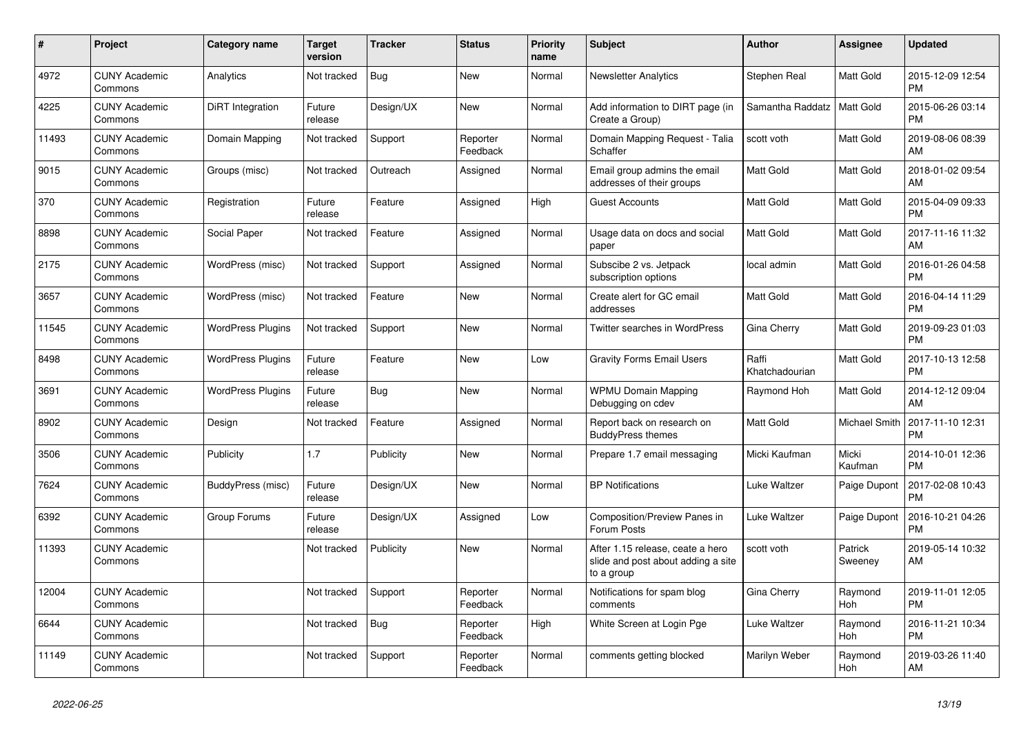| #     | Project                         | Category name            | Target<br>version | <b>Tracker</b> | <b>Status</b>        | Priority<br>name | <b>Subject</b>                                                                       | <b>Author</b>           | <b>Assignee</b>       | <b>Updated</b>                |
|-------|---------------------------------|--------------------------|-------------------|----------------|----------------------|------------------|--------------------------------------------------------------------------------------|-------------------------|-----------------------|-------------------------------|
| 4972  | <b>CUNY Academic</b><br>Commons | Analytics                | Not tracked       | Bug            | <b>New</b>           | Normal           | <b>Newsletter Analytics</b>                                                          | Stephen Real            | Matt Gold             | 2015-12-09 12:54<br><b>PM</b> |
| 4225  | <b>CUNY Academic</b><br>Commons | DiRT Integration         | Future<br>release | Design/UX      | <b>New</b>           | Normal           | Add information to DIRT page (in<br>Create a Group)                                  | Samantha Raddatz        | <b>Matt Gold</b>      | 2015-06-26 03:14<br><b>PM</b> |
| 11493 | <b>CUNY Academic</b><br>Commons | Domain Mapping           | Not tracked       | Support        | Reporter<br>Feedback | Normal           | Domain Mapping Request - Talia<br>Schaffer                                           | scott voth              | Matt Gold             | 2019-08-06 08:39<br>AM        |
| 9015  | <b>CUNY Academic</b><br>Commons | Groups (misc)            | Not tracked       | Outreach       | Assigned             | Normal           | Email group admins the email<br>addresses of their groups                            | <b>Matt Gold</b>        | Matt Gold             | 2018-01-02 09:54<br>AM        |
| 370   | <b>CUNY Academic</b><br>Commons | Registration             | Future<br>release | Feature        | Assigned             | High             | <b>Guest Accounts</b>                                                                | Matt Gold               | Matt Gold             | 2015-04-09 09:33<br><b>PM</b> |
| 8898  | <b>CUNY Academic</b><br>Commons | Social Paper             | Not tracked       | Feature        | Assigned             | Normal           | Usage data on docs and social<br>paper                                               | Matt Gold               | Matt Gold             | 2017-11-16 11:32<br>AM        |
| 2175  | <b>CUNY Academic</b><br>Commons | WordPress (misc)         | Not tracked       | Support        | Assigned             | Normal           | Subscibe 2 vs. Jetpack<br>subscription options                                       | local admin             | <b>Matt Gold</b>      | 2016-01-26 04:58<br><b>PM</b> |
| 3657  | <b>CUNY Academic</b><br>Commons | WordPress (misc)         | Not tracked       | Feature        | <b>New</b>           | Normal           | Create alert for GC email<br>addresses                                               | Matt Gold               | Matt Gold             | 2016-04-14 11:29<br><b>PM</b> |
| 11545 | <b>CUNY Academic</b><br>Commons | <b>WordPress Plugins</b> | Not tracked       | Support        | <b>New</b>           | Normal           | Twitter searches in WordPress                                                        | Gina Cherry             | Matt Gold             | 2019-09-23 01:03<br><b>PM</b> |
| 8498  | <b>CUNY Academic</b><br>Commons | <b>WordPress Plugins</b> | Future<br>release | Feature        | <b>New</b>           | Low              | <b>Gravity Forms Email Users</b>                                                     | Raffi<br>Khatchadourian | Matt Gold             | 2017-10-13 12:58<br><b>PM</b> |
| 3691  | <b>CUNY Academic</b><br>Commons | <b>WordPress Plugins</b> | Future<br>release | Bug            | <b>New</b>           | Normal           | <b>WPMU Domain Mapping</b><br>Debugging on cdev                                      | Raymond Hoh             | Matt Gold             | 2014-12-12 09:04<br>AM        |
| 8902  | <b>CUNY Academic</b><br>Commons | Design                   | Not tracked       | Feature        | Assigned             | Normal           | Report back on research on<br><b>BuddyPress themes</b>                               | Matt Gold               | Michael Smith         | 2017-11-10 12:31<br><b>PM</b> |
| 3506  | <b>CUNY Academic</b><br>Commons | Publicity                | 1.7               | Publicity      | <b>New</b>           | Normal           | Prepare 1.7 email messaging                                                          | Micki Kaufman           | Micki<br>Kaufman      | 2014-10-01 12:36<br><b>PM</b> |
| 7624  | <b>CUNY Academic</b><br>Commons | BuddyPress (misc)        | Future<br>release | Design/UX      | <b>New</b>           | Normal           | <b>BP</b> Notifications                                                              | Luke Waltzer            | Paige Dupont          | 2017-02-08 10:43<br><b>PM</b> |
| 6392  | <b>CUNY Academic</b><br>Commons | Group Forums             | Future<br>release | Design/UX      | Assigned             | Low              | Composition/Preview Panes in<br>Forum Posts                                          | Luke Waltzer            | Paige Dupont          | 2016-10-21 04:26<br><b>PM</b> |
| 11393 | <b>CUNY Academic</b><br>Commons |                          | Not tracked       | Publicity      | <b>New</b>           | Normal           | After 1.15 release, ceate a hero<br>slide and post about adding a site<br>to a group | scott voth              | Patrick<br>Sweeney    | 2019-05-14 10:32<br>AM        |
| 12004 | <b>CUNY Academic</b><br>Commons |                          | Not tracked       | Support        | Reporter<br>Feedback | Normal           | Notifications for spam blog<br>comments                                              | Gina Cherry             | Raymond<br>Hoh        | 2019-11-01 12:05<br><b>PM</b> |
| 6644  | <b>CUNY Academic</b><br>Commons |                          | Not tracked       | <b>Bug</b>     | Reporter<br>Feedback | High             | White Screen at Login Pge                                                            | Luke Waltzer            | Raymond<br><b>Hoh</b> | 2016-11-21 10:34<br><b>PM</b> |
| 11149 | <b>CUNY Academic</b><br>Commons |                          | Not tracked       | Support        | Reporter<br>Feedback | Normal           | comments getting blocked                                                             | Marilyn Weber           | Raymond<br>Hoh        | 2019-03-26 11:40<br>AM        |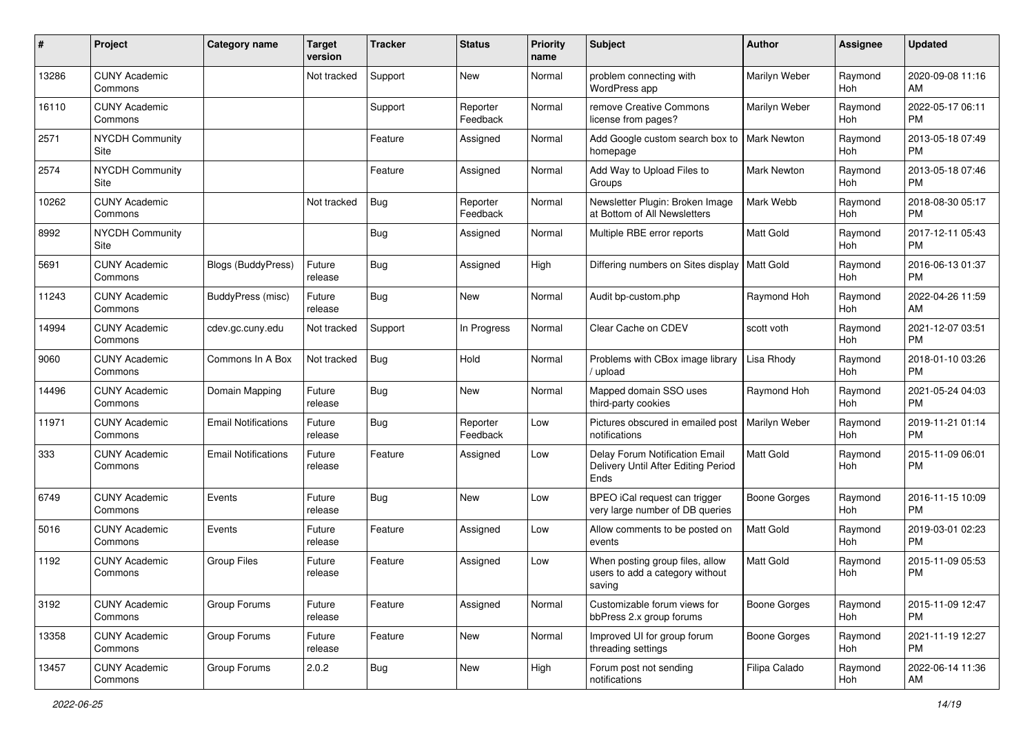| #     | Project                         | <b>Category name</b>       | <b>Target</b><br>version | Tracker    | <b>Status</b>        | <b>Priority</b><br>name | Subject                                                                       | Author               | Assignee       | <b>Updated</b>                |
|-------|---------------------------------|----------------------------|--------------------------|------------|----------------------|-------------------------|-------------------------------------------------------------------------------|----------------------|----------------|-------------------------------|
| 13286 | <b>CUNY Academic</b><br>Commons |                            | Not tracked              | Support    | <b>New</b>           | Normal                  | problem connecting with<br>WordPress app                                      | Marilyn Weber        | Raymond<br>Hoh | 2020-09-08 11:16<br>AM        |
| 16110 | <b>CUNY Academic</b><br>Commons |                            |                          | Support    | Reporter<br>Feedback | Normal                  | remove Creative Commons<br>license from pages?                                | Marilyn Weber        | Raymond<br>Hoh | 2022-05-17 06:11<br><b>PM</b> |
| 2571  | <b>NYCDH Community</b><br>Site  |                            |                          | Feature    | Assigned             | Normal                  | Add Google custom search box to<br>homepage                                   | <b>Mark Newton</b>   | Raymond<br>Hoh | 2013-05-18 07:49<br><b>PM</b> |
| 2574  | <b>NYCDH Community</b><br>Site  |                            |                          | Feature    | Assigned             | Normal                  | Add Way to Upload Files to<br>Groups                                          | <b>Mark Newton</b>   | Raymond<br>Hoh | 2013-05-18 07:46<br><b>PM</b> |
| 10262 | <b>CUNY Academic</b><br>Commons |                            | Not tracked              | Bug        | Reporter<br>Feedback | Normal                  | Newsletter Plugin: Broken Image<br>at Bottom of All Newsletters               | Mark Webb            | Raymond<br>Hoh | 2018-08-30 05:17<br><b>PM</b> |
| 8992  | <b>NYCDH Community</b><br>Site  |                            |                          | Bug        | Assigned             | Normal                  | Multiple RBE error reports                                                    | <b>Matt Gold</b>     | Raymond<br>Hoh | 2017-12-11 05:43<br>PM        |
| 5691  | <b>CUNY Academic</b><br>Commons | Blogs (BuddyPress)         | Future<br>release        | Bug        | Assigned             | High                    | Differing numbers on Sites display                                            | <b>Matt Gold</b>     | Raymond<br>Hoh | 2016-06-13 01:37<br><b>PM</b> |
| 11243 | <b>CUNY Academic</b><br>Commons | BuddyPress (misc)          | Future<br>release        | <b>Bug</b> | <b>New</b>           | Normal                  | Audit bp-custom.php                                                           | Raymond Hoh          | Raymond<br>Hoh | 2022-04-26 11:59<br>AM        |
| 14994 | <b>CUNY Academic</b><br>Commons | cdev.gc.cuny.edu           | Not tracked              | Support    | In Progress          | Normal                  | Clear Cache on CDEV                                                           | scott voth           | Raymond<br>Hoh | 2021-12-07 03:51<br>PM        |
| 9060  | <b>CUNY Academic</b><br>Commons | Commons In A Box           | Not tracked              | Bug        | Hold                 | Normal                  | Problems with CBox image library<br>upload                                    | Lisa Rhody           | Raymond<br>Hoh | 2018-01-10 03:26<br>PM        |
| 14496 | <b>CUNY Academic</b><br>Commons | Domain Mapping             | Future<br>release        | <b>Bug</b> | New                  | Normal                  | Mapped domain SSO uses<br>third-party cookies                                 | Raymond Hoh          | Raymond<br>Hoh | 2021-05-24 04:03<br><b>PM</b> |
| 11971 | <b>CUNY Academic</b><br>Commons | <b>Email Notifications</b> | Future<br>release        | Bug        | Reporter<br>Feedback | Low                     | Pictures obscured in emailed post<br>notifications                            | <b>Marilyn Weber</b> | Raymond<br>Hoh | 2019-11-21 01:14<br><b>PM</b> |
| 333   | <b>CUNY Academic</b><br>Commons | <b>Email Notifications</b> | Future<br>release        | Feature    | Assigned             | Low                     | Delay Forum Notification Email<br>Delivery Until After Editing Period<br>Ends | <b>Matt Gold</b>     | Raymond<br>Hoh | 2015-11-09 06:01<br><b>PM</b> |
| 6749  | <b>CUNY Academic</b><br>Commons | Events                     | Future<br>release        | Bug        | <b>New</b>           | Low                     | BPEO iCal request can trigger<br>very large number of DB queries              | <b>Boone Gorges</b>  | Raymond<br>Hoh | 2016-11-15 10:09<br><b>PM</b> |
| 5016  | <b>CUNY Academic</b><br>Commons | Events                     | Future<br>release        | Feature    | Assigned             | Low                     | Allow comments to be posted on<br>events                                      | Matt Gold            | Raymond<br>Hoh | 2019-03-01 02:23<br><b>PM</b> |
| 1192  | <b>CUNY Academic</b><br>Commons | <b>Group Files</b>         | Future<br>release        | Feature    | Assigned             | Low                     | When posting group files, allow<br>users to add a category without<br>saving  | <b>Matt Gold</b>     | Raymond<br>Hoh | 2015-11-09 05:53<br><b>PM</b> |
| 3192  | <b>CUNY Academic</b><br>Commons | Group Forums               | Future<br>release        | Feature    | Assigned             | Normal                  | Customizable forum views for<br>bbPress 2.x group forums                      | Boone Gorges         | Raymond<br>Hoh | 2015-11-09 12:47<br>PM        |
| 13358 | <b>CUNY Academic</b><br>Commons | Group Forums               | Future<br>release        | Feature    | New                  | Normal                  | Improved UI for group forum<br>threading settings                             | Boone Gorges         | Raymond<br>Hoh | 2021-11-19 12:27<br><b>PM</b> |
| 13457 | <b>CUNY Academic</b><br>Commons | Group Forums               | 2.0.2                    | <b>Bug</b> | New                  | High                    | Forum post not sending<br>notifications                                       | Filipa Calado        | Raymond<br>Hoh | 2022-06-14 11:36<br>AM        |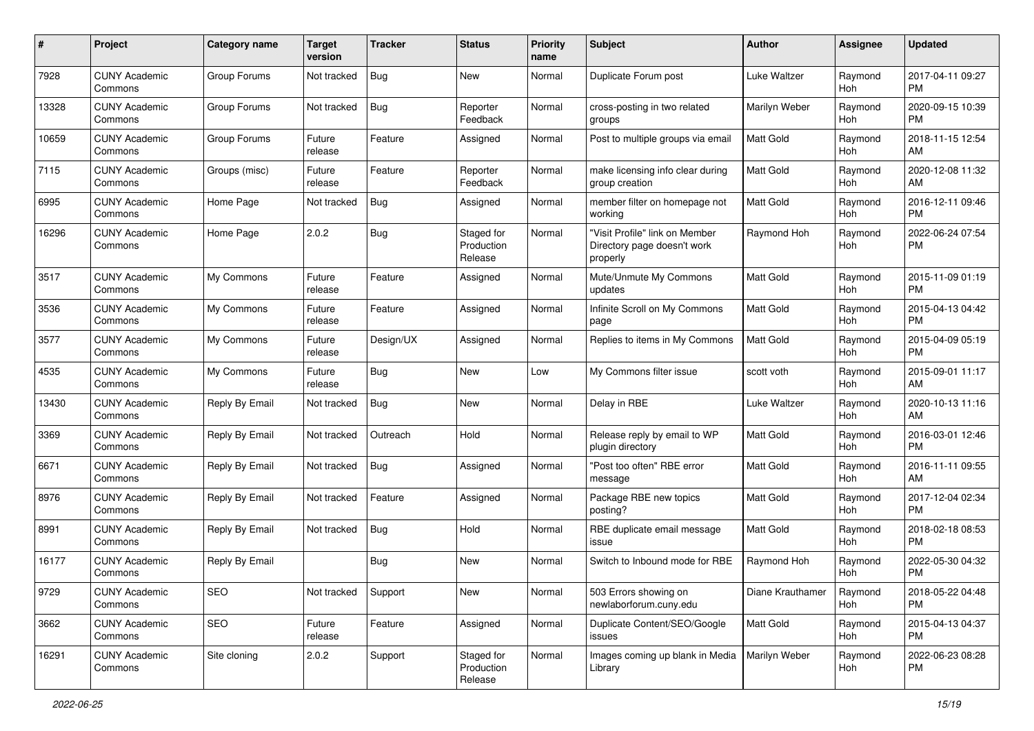| #     | Project                         | <b>Category name</b> | <b>Target</b><br>version | <b>Tracker</b> | <b>Status</b>                       | <b>Priority</b><br>name | Subject                                                                   | Author           | <b>Assignee</b>       | <b>Updated</b>                |
|-------|---------------------------------|----------------------|--------------------------|----------------|-------------------------------------|-------------------------|---------------------------------------------------------------------------|------------------|-----------------------|-------------------------------|
| 7928  | <b>CUNY Academic</b><br>Commons | Group Forums         | Not tracked              | <b>Bug</b>     | <b>New</b>                          | Normal                  | Duplicate Forum post                                                      | Luke Waltzer     | Raymond<br>Hoh        | 2017-04-11 09:27<br><b>PM</b> |
| 13328 | <b>CUNY Academic</b><br>Commons | Group Forums         | Not tracked              | <b>Bug</b>     | Reporter<br>Feedback                | Normal                  | cross-posting in two related<br>groups                                    | Marilyn Weber    | Raymond<br><b>Hoh</b> | 2020-09-15 10:39<br><b>PM</b> |
| 10659 | <b>CUNY Academic</b><br>Commons | Group Forums         | Future<br>release        | Feature        | Assigned                            | Normal                  | Post to multiple groups via email                                         | <b>Matt Gold</b> | Raymond<br>Hoh        | 2018-11-15 12:54<br>AM        |
| 7115  | <b>CUNY Academic</b><br>Commons | Groups (misc)        | Future<br>release        | Feature        | Reporter<br>Feedback                | Normal                  | make licensing info clear during<br>group creation                        | <b>Matt Gold</b> | Raymond<br>Hoh        | 2020-12-08 11:32<br>AM        |
| 6995  | <b>CUNY Academic</b><br>Commons | Home Page            | Not tracked              | Bug            | Assigned                            | Normal                  | member filter on homepage not<br>working                                  | <b>Matt Gold</b> | Raymond<br>Hoh        | 2016-12-11 09:46<br><b>PM</b> |
| 16296 | <b>CUNY Academic</b><br>Commons | Home Page            | 2.0.2                    | <b>Bug</b>     | Staged for<br>Production<br>Release | Normal                  | "Visit Profile" link on Member<br>Directory page doesn't work<br>properly | Raymond Hoh      | Raymond<br>Hoh        | 2022-06-24 07:54<br><b>PM</b> |
| 3517  | <b>CUNY Academic</b><br>Commons | My Commons           | Future<br>release        | Feature        | Assigned                            | Normal                  | Mute/Unmute My Commons<br>updates                                         | <b>Matt Gold</b> | Raymond<br>Hoh        | 2015-11-09 01:19<br><b>PM</b> |
| 3536  | <b>CUNY Academic</b><br>Commons | My Commons           | Future<br>release        | Feature        | Assigned                            | Normal                  | Infinite Scroll on My Commons<br>page                                     | <b>Matt Gold</b> | Raymond<br>Hoh        | 2015-04-13 04:42<br><b>PM</b> |
| 3577  | <b>CUNY Academic</b><br>Commons | My Commons           | Future<br>release        | Design/UX      | Assigned                            | Normal                  | Replies to items in My Commons                                            | <b>Matt Gold</b> | Raymond<br>Hoh        | 2015-04-09 05:19<br><b>PM</b> |
| 4535  | <b>CUNY Academic</b><br>Commons | My Commons           | Future<br>release        | Bug            | <b>New</b>                          | Low                     | My Commons filter issue                                                   | scott voth       | Raymond<br>Hoh        | 2015-09-01 11:17<br>AM        |
| 13430 | <b>CUNY Academic</b><br>Commons | Reply By Email       | Not tracked              | <b>Bug</b>     | New                                 | Normal                  | Delay in RBE                                                              | Luke Waltzer     | Raymond<br>Hoh        | 2020-10-13 11:16<br>AM        |
| 3369  | CUNY Academic<br>Commons        | Reply By Email       | Not tracked              | Outreach       | Hold                                | Normal                  | Release reply by email to WP<br>plugin directory                          | Matt Gold        | Raymond<br>Hoh        | 2016-03-01 12:46<br><b>PM</b> |
| 6671  | <b>CUNY Academic</b><br>Commons | Reply By Email       | Not tracked              | Bug            | Assigned                            | Normal                  | "Post too often" RBE error<br>message                                     | <b>Matt Gold</b> | Raymond<br>Hoh        | 2016-11-11 09:55<br>AM        |
| 8976  | <b>CUNY Academic</b><br>Commons | Reply By Email       | Not tracked              | Feature        | Assigned                            | Normal                  | Package RBE new topics<br>posting?                                        | <b>Matt Gold</b> | Raymond<br>Hoh        | 2017-12-04 02:34<br><b>PM</b> |
| 8991  | <b>CUNY Academic</b><br>Commons | Reply By Email       | Not tracked              | <b>Bug</b>     | Hold                                | Normal                  | RBE duplicate email message<br>issue                                      | Matt Gold        | Raymond<br>Hoh        | 2018-02-18 08:53<br><b>PM</b> |
| 16177 | <b>CUNY Academic</b><br>Commons | Reply By Email       |                          | <b>Bug</b>     | New                                 | Normal                  | Switch to Inbound mode for RBE                                            | Raymond Hoh      | Raymond<br>Hoh        | 2022-05-30 04:32<br><b>PM</b> |
| 9729  | <b>CUNY Academic</b><br>Commons | SEO                  | Not tracked              | Support        | New                                 | Normal                  | 503 Errors showing on<br>newlaborforum.cuny.edu                           | Diane Krauthamer | Raymond<br>Hoh        | 2018-05-22 04:48<br>PM        |
| 3662  | <b>CUNY Academic</b><br>Commons | SEO                  | Future<br>release        | Feature        | Assigned                            | Normal                  | Duplicate Content/SEO/Google<br>issues                                    | Matt Gold        | Raymond<br>Hoh        | 2015-04-13 04:37<br>PM        |
| 16291 | <b>CUNY Academic</b><br>Commons | Site cloning         | 2.0.2                    | Support        | Staged for<br>Production<br>Release | Normal                  | Images coming up blank in Media<br>Library                                | Marilyn Weber    | Raymond<br>Hoh        | 2022-06-23 08:28<br><b>PM</b> |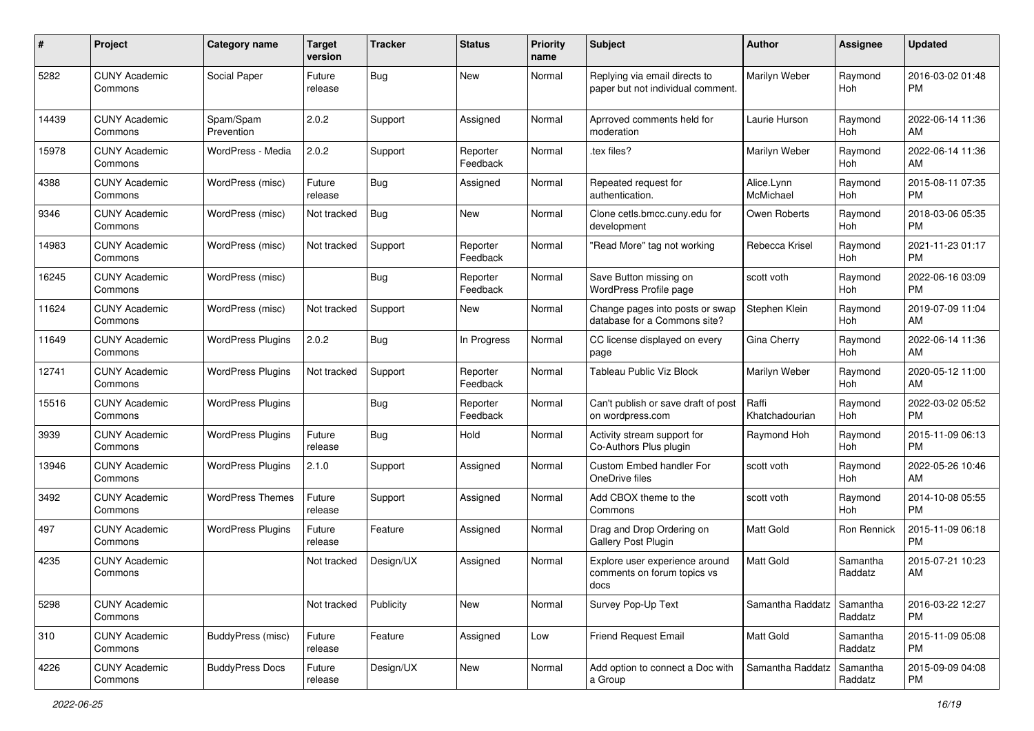| #     | Project                         | <b>Category name</b>     | <b>Target</b><br>version | <b>Tracker</b> | <b>Status</b>        | <b>Priority</b><br>name | <b>Subject</b>                                                        | <b>Author</b>           | <b>Assignee</b>       | <b>Updated</b>                |
|-------|---------------------------------|--------------------------|--------------------------|----------------|----------------------|-------------------------|-----------------------------------------------------------------------|-------------------------|-----------------------|-------------------------------|
| 5282  | <b>CUNY Academic</b><br>Commons | Social Paper             | Future<br>release        | <b>Bug</b>     | <b>New</b>           | Normal                  | Replying via email directs to<br>paper but not individual comment.    | Marilyn Weber           | Raymond<br>Hoh        | 2016-03-02 01:48<br><b>PM</b> |
| 14439 | <b>CUNY Academic</b><br>Commons | Spam/Spam<br>Prevention  | 2.0.2                    | Support        | Assigned             | Normal                  | Aprroved comments held for<br>moderation                              | Laurie Hurson           | Raymond<br>Hoh        | 2022-06-14 11:36<br>AM        |
| 15978 | <b>CUNY Academic</b><br>Commons | WordPress - Media        | 2.0.2                    | Support        | Reporter<br>Feedback | Normal                  | .tex files?                                                           | Marilyn Weber           | Raymond<br><b>Hoh</b> | 2022-06-14 11:36<br>AM        |
| 4388  | <b>CUNY Academic</b><br>Commons | WordPress (misc)         | Future<br>release        | Bug            | Assigned             | Normal                  | Repeated request for<br>authentication.                               | Alice.Lynn<br>McMichael | Raymond<br>Hoh        | 2015-08-11 07:35<br><b>PM</b> |
| 9346  | <b>CUNY Academic</b><br>Commons | WordPress (misc)         | Not tracked              | Bug            | New                  | Normal                  | Clone cetls.bmcc.cuny.edu for<br>development                          | Owen Roberts            | Raymond<br>Hoh        | 2018-03-06 05:35<br><b>PM</b> |
| 14983 | <b>CUNY Academic</b><br>Commons | WordPress (misc)         | Not tracked              | Support        | Reporter<br>Feedback | Normal                  | "Read More" tag not working                                           | Rebecca Krisel          | Raymond<br>Hoh        | 2021-11-23 01:17<br><b>PM</b> |
| 16245 | <b>CUNY Academic</b><br>Commons | WordPress (misc)         |                          | Bug            | Reporter<br>Feedback | Normal                  | Save Button missing on<br>WordPress Profile page                      | scott voth              | Raymond<br>Hoh        | 2022-06-16 03:09<br><b>PM</b> |
| 11624 | <b>CUNY Academic</b><br>Commons | WordPress (misc)         | Not tracked              | Support        | <b>New</b>           | Normal                  | Change pages into posts or swap<br>database for a Commons site?       | Stephen Klein           | Raymond<br>Hoh        | 2019-07-09 11:04<br>AM        |
| 11649 | <b>CUNY Academic</b><br>Commons | <b>WordPress Plugins</b> | 2.0.2                    | Bug            | In Progress          | Normal                  | CC license displayed on every<br>page                                 | Gina Cherry             | Raymond<br>Hoh        | 2022-06-14 11:36<br>AM        |
| 12741 | <b>CUNY Academic</b><br>Commons | <b>WordPress Plugins</b> | Not tracked              | Support        | Reporter<br>Feedback | Normal                  | <b>Tableau Public Viz Block</b>                                       | Marilyn Weber           | Raymond<br>Hoh        | 2020-05-12 11:00<br>AM        |
| 15516 | <b>CUNY Academic</b><br>Commons | <b>WordPress Plugins</b> |                          | Bug            | Reporter<br>Feedback | Normal                  | Can't publish or save draft of post<br>on wordpress.com               | Raffi<br>Khatchadourian | Raymond<br>Hoh        | 2022-03-02 05:52<br><b>PM</b> |
| 3939  | <b>CUNY Academic</b><br>Commons | <b>WordPress Plugins</b> | Future<br>release        | Bug            | Hold                 | Normal                  | Activity stream support for<br>Co-Authors Plus plugin                 | Raymond Hoh             | Raymond<br><b>Hoh</b> | 2015-11-09 06:13<br><b>PM</b> |
| 13946 | <b>CUNY Academic</b><br>Commons | <b>WordPress Plugins</b> | 2.1.0                    | Support        | Assigned             | Normal                  | Custom Embed handler For<br>OneDrive files                            | scott voth              | Raymond<br>Hoh        | 2022-05-26 10:46<br>AM        |
| 3492  | <b>CUNY Academic</b><br>Commons | <b>WordPress Themes</b>  | Future<br>release        | Support        | Assigned             | Normal                  | Add CBOX theme to the<br>Commons                                      | scott voth              | Raymond<br>Hoh        | 2014-10-08 05:55<br><b>PM</b> |
| 497   | <b>CUNY Academic</b><br>Commons | <b>WordPress Plugins</b> | Future<br>release        | Feature        | Assigned             | Normal                  | Drag and Drop Ordering on<br>Gallery Post Plugin                      | <b>Matt Gold</b>        | Ron Rennick           | 2015-11-09 06:18<br><b>PM</b> |
| 4235  | <b>CUNY Academic</b><br>Commons |                          | Not tracked              | Design/UX      | Assigned             | Normal                  | Explore user experience around<br>comments on forum topics vs<br>docs | Matt Gold               | Samantha<br>Raddatz   | 2015-07-21 10:23<br>AM        |
| 5298  | <b>CUNY Academic</b><br>Commons |                          | Not tracked              | Publicity      | New                  | Normal                  | Survey Pop-Up Text                                                    | Samantha Raddatz        | Samantha<br>Raddatz   | 2016-03-22 12:27<br><b>PM</b> |
| 310   | <b>CUNY Academic</b><br>Commons | BuddyPress (misc)        | Future<br>release        | Feature        | Assigned             | Low                     | Friend Request Email                                                  | Matt Gold               | Samantha<br>Raddatz   | 2015-11-09 05:08<br><b>PM</b> |
| 4226  | <b>CUNY Academic</b><br>Commons | <b>BuddyPress Docs</b>   | Future<br>release        | Design/UX      | New                  | Normal                  | Add option to connect a Doc with<br>a Group                           | Samantha Raddatz        | Samantha<br>Raddatz   | 2015-09-09 04:08<br>PM        |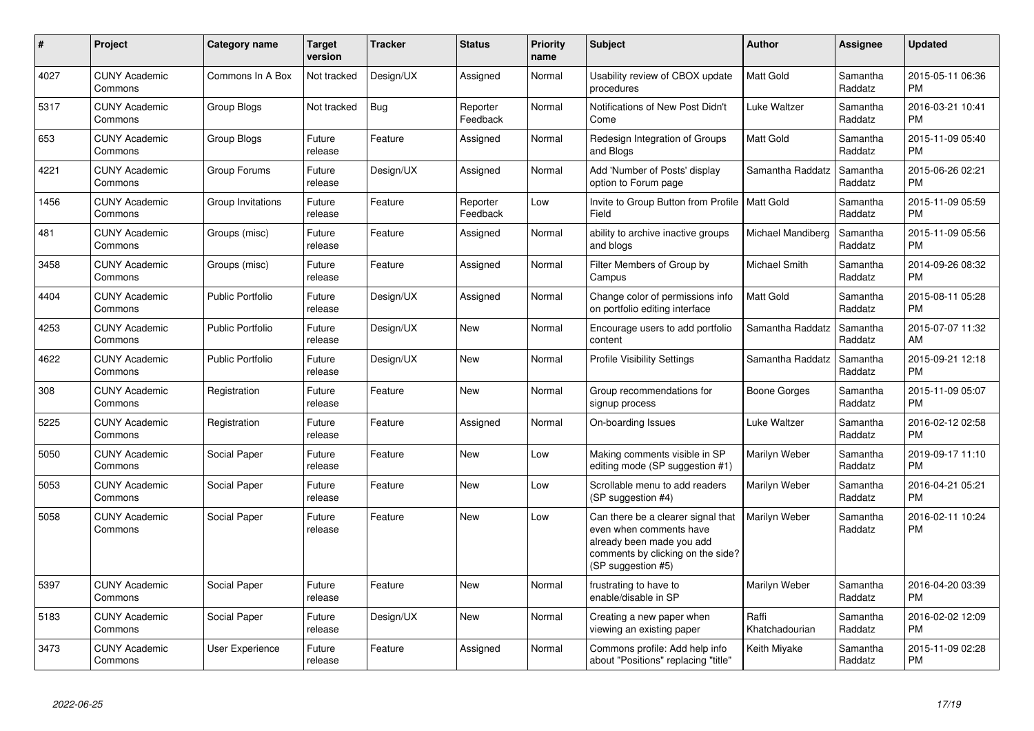| $\pmb{\#}$ | Project                         | <b>Category name</b>    | <b>Target</b><br>version | <b>Tracker</b> | <b>Status</b>        | <b>Priority</b><br>name | <b>Subject</b>                                                                                                                                        | Author                  | <b>Assignee</b>     | <b>Updated</b>                |
|------------|---------------------------------|-------------------------|--------------------------|----------------|----------------------|-------------------------|-------------------------------------------------------------------------------------------------------------------------------------------------------|-------------------------|---------------------|-------------------------------|
| 4027       | <b>CUNY Academic</b><br>Commons | Commons In A Box        | Not tracked              | Design/UX      | Assigned             | Normal                  | Usability review of CBOX update<br>procedures                                                                                                         | Matt Gold               | Samantha<br>Raddatz | 2015-05-11 06:36<br><b>PM</b> |
| 5317       | <b>CUNY Academic</b><br>Commons | Group Blogs             | Not tracked              | Bug            | Reporter<br>Feedback | Normal                  | Notifications of New Post Didn't<br>Come                                                                                                              | Luke Waltzer            | Samantha<br>Raddatz | 2016-03-21 10:41<br><b>PM</b> |
| 653        | <b>CUNY Academic</b><br>Commons | Group Blogs             | Future<br>release        | Feature        | Assigned             | Normal                  | Redesign Integration of Groups<br>and Blogs                                                                                                           | Matt Gold               | Samantha<br>Raddatz | 2015-11-09 05:40<br><b>PM</b> |
| 4221       | <b>CUNY Academic</b><br>Commons | Group Forums            | Future<br>release        | Design/UX      | Assigned             | Normal                  | Add 'Number of Posts' display<br>option to Forum page                                                                                                 | Samantha Raddatz        | Samantha<br>Raddatz | 2015-06-26 02:21<br><b>PM</b> |
| 1456       | <b>CUNY Academic</b><br>Commons | Group Invitations       | Future<br>release        | Feature        | Reporter<br>Feedback | Low                     | Invite to Group Button from Profile   Matt Gold<br>Field                                                                                              |                         | Samantha<br>Raddatz | 2015-11-09 05:59<br><b>PM</b> |
| 481        | <b>CUNY Academic</b><br>Commons | Groups (misc)           | Future<br>release        | Feature        | Assigned             | Normal                  | ability to archive inactive groups<br>and blogs                                                                                                       | Michael Mandiberg       | Samantha<br>Raddatz | 2015-11-09 05:56<br><b>PM</b> |
| 3458       | <b>CUNY Academic</b><br>Commons | Groups (misc)           | Future<br>release        | Feature        | Assigned             | Normal                  | Filter Members of Group by<br>Campus                                                                                                                  | Michael Smith           | Samantha<br>Raddatz | 2014-09-26 08:32<br><b>PM</b> |
| 4404       | <b>CUNY Academic</b><br>Commons | <b>Public Portfolio</b> | Future<br>release        | Design/UX      | Assigned             | Normal                  | Change color of permissions info<br>on portfolio editing interface                                                                                    | <b>Matt Gold</b>        | Samantha<br>Raddatz | 2015-08-11 05:28<br><b>PM</b> |
| 4253       | <b>CUNY Academic</b><br>Commons | Public Portfolio        | Future<br>release        | Design/UX      | <b>New</b>           | Normal                  | Encourage users to add portfolio<br>content                                                                                                           | Samantha Raddatz        | Samantha<br>Raddatz | 2015-07-07 11:32<br>AM        |
| 4622       | <b>CUNY Academic</b><br>Commons | <b>Public Portfolio</b> | Future<br>release        | Design/UX      | <b>New</b>           | Normal                  | <b>Profile Visibility Settings</b>                                                                                                                    | Samantha Raddatz        | Samantha<br>Raddatz | 2015-09-21 12:18<br><b>PM</b> |
| 308        | <b>CUNY Academic</b><br>Commons | Registration            | Future<br>release        | Feature        | <b>New</b>           | Normal                  | Group recommendations for<br>signup process                                                                                                           | Boone Gorges            | Samantha<br>Raddatz | 2015-11-09 05:07<br><b>PM</b> |
| 5225       | <b>CUNY Academic</b><br>Commons | Registration            | Future<br>release        | Feature        | Assigned             | Normal                  | On-boarding Issues                                                                                                                                    | Luke Waltzer            | Samantha<br>Raddatz | 2016-02-12 02:58<br><b>PM</b> |
| 5050       | <b>CUNY Academic</b><br>Commons | Social Paper            | Future<br>release        | Feature        | <b>New</b>           | Low                     | Making comments visible in SP<br>editing mode (SP suggestion #1)                                                                                      | Marilyn Weber           | Samantha<br>Raddatz | 2019-09-17 11:10<br><b>PM</b> |
| 5053       | <b>CUNY Academic</b><br>Commons | Social Paper            | Future<br>release        | Feature        | <b>New</b>           | Low                     | Scrollable menu to add readers<br>(SP suggestion #4)                                                                                                  | Marilyn Weber           | Samantha<br>Raddatz | 2016-04-21 05:21<br><b>PM</b> |
| 5058       | <b>CUNY Academic</b><br>Commons | Social Paper            | Future<br>release        | Feature        | <b>New</b>           | Low                     | Can there be a clearer signal that<br>even when comments have<br>already been made you add<br>comments by clicking on the side?<br>(SP suggestion #5) | Marilyn Weber           | Samantha<br>Raddatz | 2016-02-11 10:24<br><b>PM</b> |
| 5397       | <b>CUNY Academic</b><br>Commons | Social Paper            | Future<br>release        | Feature        | <b>New</b>           | Normal                  | frustrating to have to<br>enable/disable in SP                                                                                                        | Marilyn Weber           | Samantha<br>Raddatz | 2016-04-20 03:39<br><b>PM</b> |
| 5183       | <b>CUNY Academic</b><br>Commons | Social Paper            | Future<br>release        | Design/UX      | <b>New</b>           | Normal                  | Creating a new paper when<br>viewing an existing paper                                                                                                | Raffi<br>Khatchadourian | Samantha<br>Raddatz | 2016-02-02 12:09<br><b>PM</b> |
| 3473       | <b>CUNY Academic</b><br>Commons | <b>User Experience</b>  | Future<br>release        | Feature        | Assigned             | Normal                  | Commons profile: Add help info<br>about "Positions" replacing "title"                                                                                 | Keith Miyake            | Samantha<br>Raddatz | 2015-11-09 02:28<br><b>PM</b> |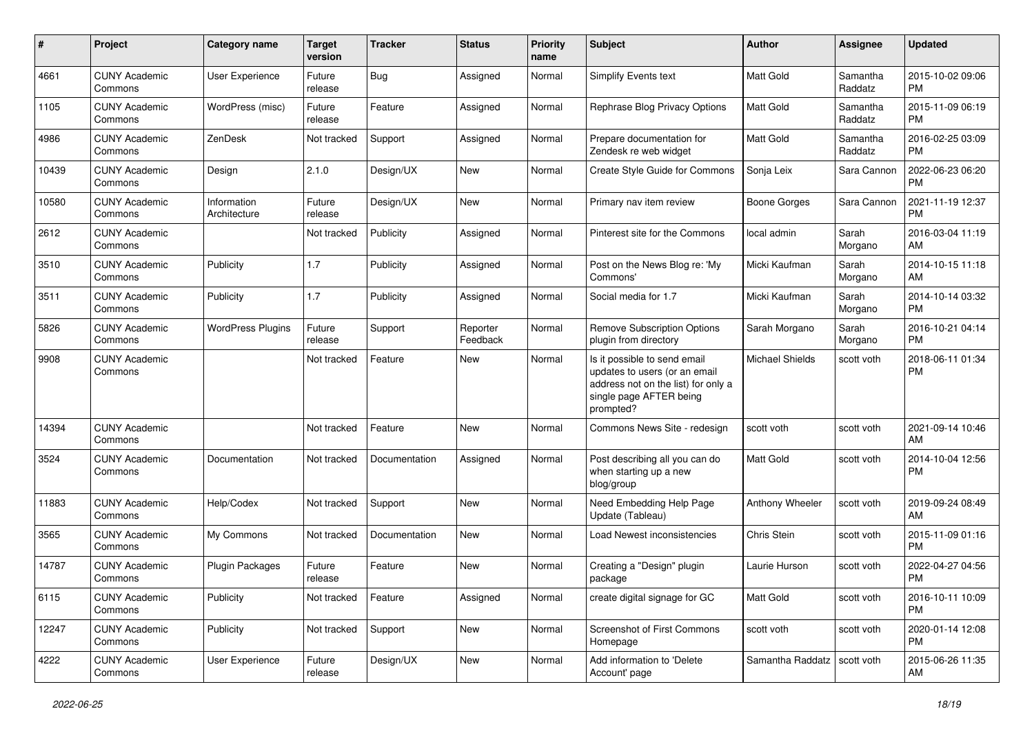| #     | Project                         | <b>Category name</b>        | <b>Target</b><br>version | <b>Tracker</b> | <b>Status</b>        | <b>Priority</b><br>name | <b>Subject</b>                                                                                                                               | Author                 | <b>Assignee</b>     | <b>Updated</b>                |
|-------|---------------------------------|-----------------------------|--------------------------|----------------|----------------------|-------------------------|----------------------------------------------------------------------------------------------------------------------------------------------|------------------------|---------------------|-------------------------------|
| 4661  | <b>CUNY Academic</b><br>Commons | User Experience             | Future<br>release        | Bug            | Assigned             | Normal                  | Simplify Events text                                                                                                                         | Matt Gold              | Samantha<br>Raddatz | 2015-10-02 09:06<br>РM        |
| 1105  | <b>CUNY Academic</b><br>Commons | WordPress (misc)            | Future<br>release        | Feature        | Assigned             | Normal                  | Rephrase Blog Privacy Options                                                                                                                | <b>Matt Gold</b>       | Samantha<br>Raddatz | 2015-11-09 06:19<br>PМ        |
| 4986  | <b>CUNY Academic</b><br>Commons | ZenDesk                     | Not tracked              | Support        | Assigned             | Normal                  | Prepare documentation for<br>Zendesk re web widget                                                                                           | Matt Gold              | Samantha<br>Raddatz | 2016-02-25 03:09<br>РM        |
| 10439 | <b>CUNY Academic</b><br>Commons | Design                      | 2.1.0                    | Design/UX      | New                  | Normal                  | <b>Create Style Guide for Commons</b>                                                                                                        | Sonja Leix             | Sara Cannon         | 2022-06-23 06:20<br><b>PM</b> |
| 10580 | <b>CUNY Academic</b><br>Commons | Information<br>Architecture | Future<br>release        | Design/UX      | New                  | Normal                  | Primary nav item review                                                                                                                      | Boone Gorges           | Sara Cannon         | 2021-11-19 12:37<br>PM        |
| 2612  | <b>CUNY Academic</b><br>Commons |                             | Not tracked              | Publicity      | Assigned             | Normal                  | Pinterest site for the Commons                                                                                                               | local admin            | Sarah<br>Morgano    | 2016-03-04 11:19<br>AM        |
| 3510  | <b>CUNY Academic</b><br>Commons | Publicity                   | 1.7                      | Publicity      | Assigned             | Normal                  | Post on the News Blog re: 'My<br>Commons'                                                                                                    | Micki Kaufman          | Sarah<br>Morgano    | 2014-10-15 11:18<br>AM        |
| 3511  | <b>CUNY Academic</b><br>Commons | Publicity                   | 1.7                      | Publicity      | Assigned             | Normal                  | Social media for 1.7                                                                                                                         | Micki Kaufman          | Sarah<br>Morgano    | 2014-10-14 03:32<br>PM        |
| 5826  | <b>CUNY Academic</b><br>Commons | <b>WordPress Plugins</b>    | Future<br>release        | Support        | Reporter<br>Feedback | Normal                  | <b>Remove Subscription Options</b><br>plugin from directory                                                                                  | Sarah Morgano          | Sarah<br>Morgano    | 2016-10-21 04:14<br><b>PM</b> |
| 9908  | <b>CUNY Academic</b><br>Commons |                             | Not tracked              | Feature        | New                  | Normal                  | Is it possible to send email<br>updates to users (or an email<br>address not on the list) for only a<br>single page AFTER being<br>prompted? | <b>Michael Shields</b> | scott voth          | 2018-06-11 01:34<br><b>PM</b> |
| 14394 | <b>CUNY Academic</b><br>Commons |                             | Not tracked              | Feature        | New                  | Normal                  | Commons News Site - redesign                                                                                                                 | scott voth             | scott voth          | 2021-09-14 10:46<br>AM        |
| 3524  | <b>CUNY Academic</b><br>Commons | Documentation               | Not tracked              | Documentation  | Assigned             | Normal                  | Post describing all you can do<br>when starting up a new<br>blog/group                                                                       | Matt Gold              | scott voth          | 2014-10-04 12:56<br><b>PM</b> |
| 11883 | <b>CUNY Academic</b><br>Commons | Help/Codex                  | Not tracked              | Support        | <b>New</b>           | Normal                  | Need Embedding Help Page<br>Update (Tableau)                                                                                                 | Anthony Wheeler        | scott voth          | 2019-09-24 08:49<br>AM        |
| 3565  | <b>CUNY Academic</b><br>Commons | My Commons                  | Not tracked              | Documentation  | New                  | Normal                  | Load Newest inconsistencies                                                                                                                  | Chris Stein            | scott voth          | 2015-11-09 01:16<br><b>PM</b> |
| 14787 | <b>CUNY Academic</b><br>Commons | <b>Plugin Packages</b>      | Future<br>release        | Feature        | New                  | Normal                  | Creating a "Design" plugin<br>package                                                                                                        | Laurie Hurson          | scott voth          | 2022-04-27 04:56<br><b>PM</b> |
| 6115  | <b>CUNY Academic</b><br>Commons | Publicity                   | Not tracked              | Feature        | Assigned             | Normal                  | create digital signage for GC                                                                                                                | Matt Gold              | scott voth          | 2016-10-11 10:09<br>PM        |
| 12247 | <b>CUNY Academic</b><br>Commons | Publicity                   | Not tracked              | Support        | New                  | Normal                  | <b>Screenshot of First Commons</b><br>Homepage                                                                                               | scott voth             | scott voth          | 2020-01-14 12:08<br>PM        |
| 4222  | <b>CUNY Academic</b><br>Commons | User Experience             | Future<br>release        | Design/UX      | New                  | Normal                  | Add information to 'Delete<br>Account' page                                                                                                  | Samantha Raddatz       | scott voth          | 2015-06-26 11:35<br>AM        |